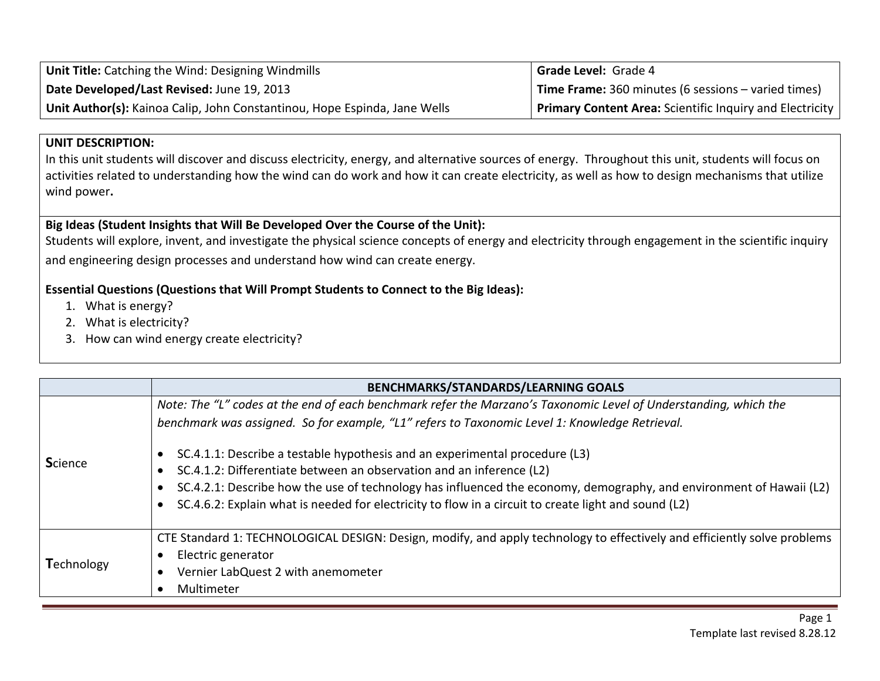| Unit Title: Catching the Wind: Designing Windmills                        | <b>Grade Level: Grade 4</b>                                     |
|---------------------------------------------------------------------------|-----------------------------------------------------------------|
| Date Developed/Last Revised: June 19, 2013                                | <b>Time Frame:</b> 360 minutes (6 sessions – varied times)      |
| Unit Author(s): Kainoa Calip, John Constantinou, Hope Espinda, Jane Wells | <b>Primary Content Area: Scientific Inquiry and Electricity</b> |

## **UNIT DESCRIPTION:**

In this unit students will discover and discuss electricity, energy, and alternative sources of energy. Throughout this unit, students will focus on activities related to understanding how the wind can do work and how it can create electricity, as well as how to design mechanisms that utilize wind power**.**

## **Big Ideas (Student Insights that Will Be Developed Over the Course of the Unit):**

Students will explore, invent, and investigate the physical science concepts of energy and electricity through engagement in the scientific inquiry and engineering design processes and understand how wind can create energy.

## **Essential Questions (Questions that Will Prompt Students to Connect to the Big Ideas):**

- 1. What is energy?
- 2. What is electricity?
- 3. How can wind energy create electricity?

|                | <b>BENCHMARKS/STANDARDS/LEARNING GOALS</b>                                                                               |
|----------------|--------------------------------------------------------------------------------------------------------------------------|
|                | Note: The "L" codes at the end of each benchmark refer the Marzano's Taxonomic Level of Understanding, which the         |
|                | benchmark was assigned. So for example, "L1" refers to Taxonomic Level 1: Knowledge Retrieval.                           |
| <b>Science</b> | SC.4.1.1: Describe a testable hypothesis and an experimental procedure (L3)                                              |
|                | SC.4.1.2: Differentiate between an observation and an inference (L2)                                                     |
|                | SC.4.2.1: Describe how the use of technology has influenced the economy, demography, and environment of Hawaii (L2)      |
|                | SC.4.6.2: Explain what is needed for electricity to flow in a circuit to create light and sound (L2)                     |
|                | CTE Standard 1: TECHNOLOGICAL DESIGN: Design, modify, and apply technology to effectively and efficiently solve problems |
| Technology     | Electric generator                                                                                                       |
|                | Vernier LabQuest 2 with anemometer                                                                                       |
|                | Multimeter                                                                                                               |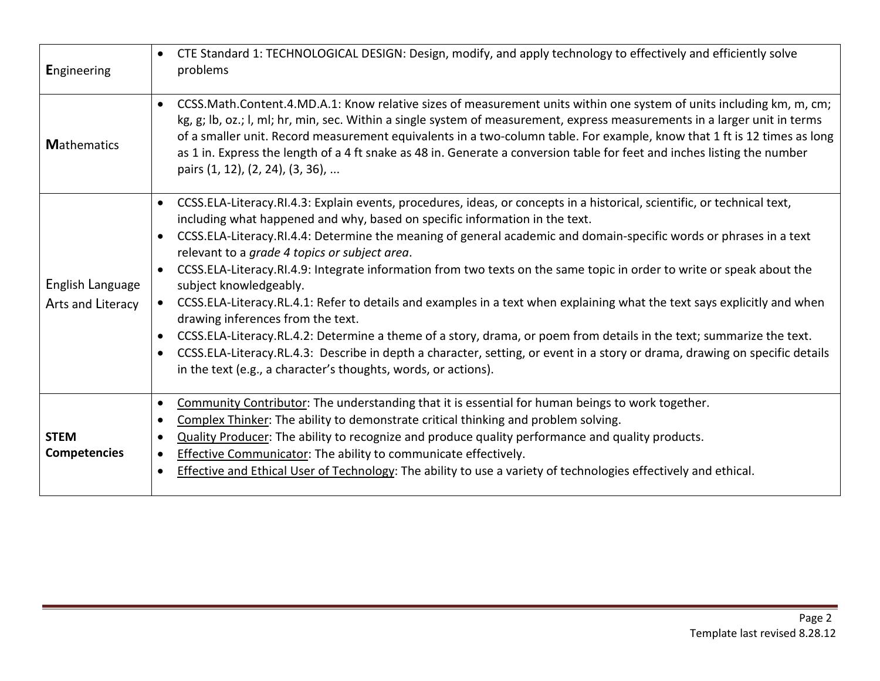| <b>Engineering</b>                    | CTE Standard 1: TECHNOLOGICAL DESIGN: Design, modify, and apply technology to effectively and efficiently solve<br>$\bullet$<br>problems                                                                                                                                                                                                                                                                                                                                                                                                                                                                                                                                                                                                                                                                                                                                                                                                                                                                                                                                                     |
|---------------------------------------|----------------------------------------------------------------------------------------------------------------------------------------------------------------------------------------------------------------------------------------------------------------------------------------------------------------------------------------------------------------------------------------------------------------------------------------------------------------------------------------------------------------------------------------------------------------------------------------------------------------------------------------------------------------------------------------------------------------------------------------------------------------------------------------------------------------------------------------------------------------------------------------------------------------------------------------------------------------------------------------------------------------------------------------------------------------------------------------------|
| <b>Mathematics</b>                    | CCSS.Math.Content.4.MD.A.1: Know relative sizes of measurement units within one system of units including km, m, cm;<br>$\bullet$<br>kg, g; lb, oz.; l, ml; hr, min, sec. Within a single system of measurement, express measurements in a larger unit in terms<br>of a smaller unit. Record measurement equivalents in a two-column table. For example, know that 1 ft is 12 times as long<br>as 1 in. Express the length of a 4 ft snake as 48 in. Generate a conversion table for feet and inches listing the number<br>pairs (1, 12), (2, 24), (3, 36),                                                                                                                                                                                                                                                                                                                                                                                                                                                                                                                                  |
| English Language<br>Arts and Literacy | CCSS.ELA-Literacy.RI.4.3: Explain events, procedures, ideas, or concepts in a historical, scientific, or technical text,<br>$\bullet$<br>including what happened and why, based on specific information in the text.<br>CCSS.ELA-Literacy.RI.4.4: Determine the meaning of general academic and domain-specific words or phrases in a text<br>$\bullet$<br>relevant to a grade 4 topics or subject area.<br>CCSS.ELA-Literacy.RI.4.9: Integrate information from two texts on the same topic in order to write or speak about the<br>$\bullet$<br>subject knowledgeably.<br>CCSS.ELA-Literacy.RL.4.1: Refer to details and examples in a text when explaining what the text says explicitly and when<br>drawing inferences from the text.<br>CCSS.ELA-Literacy.RL.4.2: Determine a theme of a story, drama, or poem from details in the text; summarize the text.<br>$\bullet$<br>CCSS.ELA-Literacy.RL.4.3: Describe in depth a character, setting, or event in a story or drama, drawing on specific details<br>$\bullet$<br>in the text (e.g., a character's thoughts, words, or actions). |
| <b>STEM</b><br><b>Competencies</b>    | Community Contributor: The understanding that it is essential for human beings to work together.<br>$\bullet$<br>Complex Thinker: The ability to demonstrate critical thinking and problem solving.<br>$\bullet$<br>Quality Producer: The ability to recognize and produce quality performance and quality products.<br>$\bullet$<br><b>Effective Communicator:</b> The ability to communicate effectively.<br>$\bullet$<br>Effective and Ethical User of Technology: The ability to use a variety of technologies effectively and ethical.<br>$\bullet$                                                                                                                                                                                                                                                                                                                                                                                                                                                                                                                                     |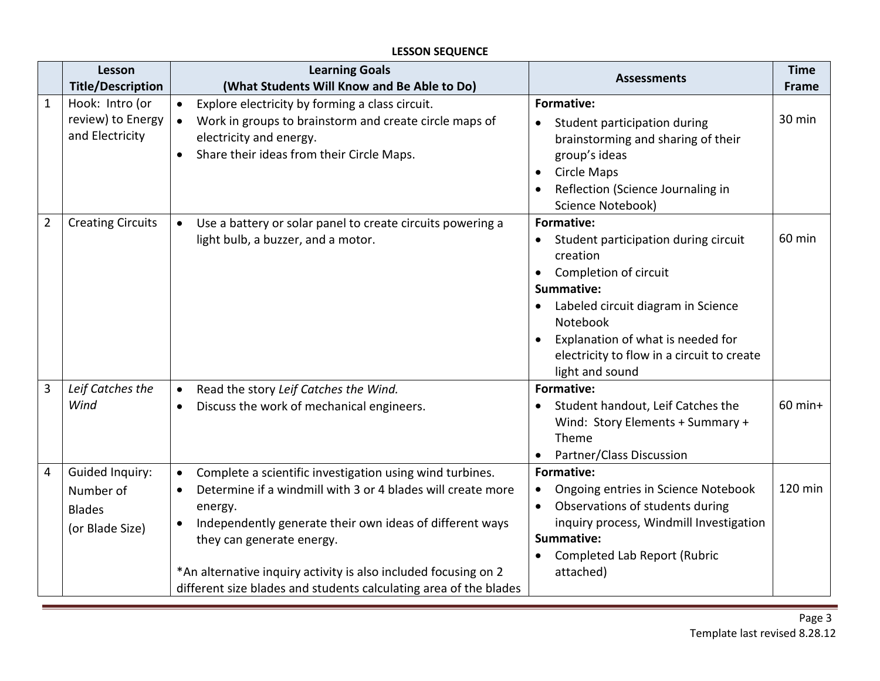#### **Lesson Title/Description Learning Goals (What Students Will Know and Be Able to Do) Assessments Time Frame** 1 | Hook: Intro (or review) to Energy and Electricity • Explore electricity by forming a class circuit. • Work in groups to brainstorm and create circle maps of electricity and energy. • Share their ideas from their Circle Maps. **Formative:**  • Student participation during brainstorming and sharing of their group's ideas • Circle Maps • Reflection (Science Journaling in Science Notebook) 30 min 2 Creating Circuits  $\bullet$  Use a battery or solar panel to create circuits powering a light bulb, a buzzer, and a motor. **Formative:**  • Student participation during circuit creation • Completion of circuit **Summative:** • Labeled circuit diagram in Science Notebook • Explanation of what is needed for electricity to flow in a circuit to create light and sound 60 min 3 *Leif Catches the Wind* • Read the story *Leif Catches the Wind.* • Discuss the work of mechanical engineers. **Formative:**  • Student handout, Leif Catches the Wind: Story Elements + Summary + Theme • Partner/Class Discussion  $60$  min+ 4 Guided Inquiry: Number of Blades (or Blade Size) • Complete a scientific investigation using wind turbines. • Determine if a windmill with 3 or 4 blades will create more energy. • Independently generate their own ideas of different ways they can generate energy. \*An alternative inquiry activity is also included focusing on 2 different size blades and students calculating area of the blades **Formative:**  • Ongoing entries in Science Notebook • Observations of students during inquiry process, Windmill Investigation **Summative:** • Completed Lab Report (Rubric attached) 120 min

#### **LESSON SEQUENCE**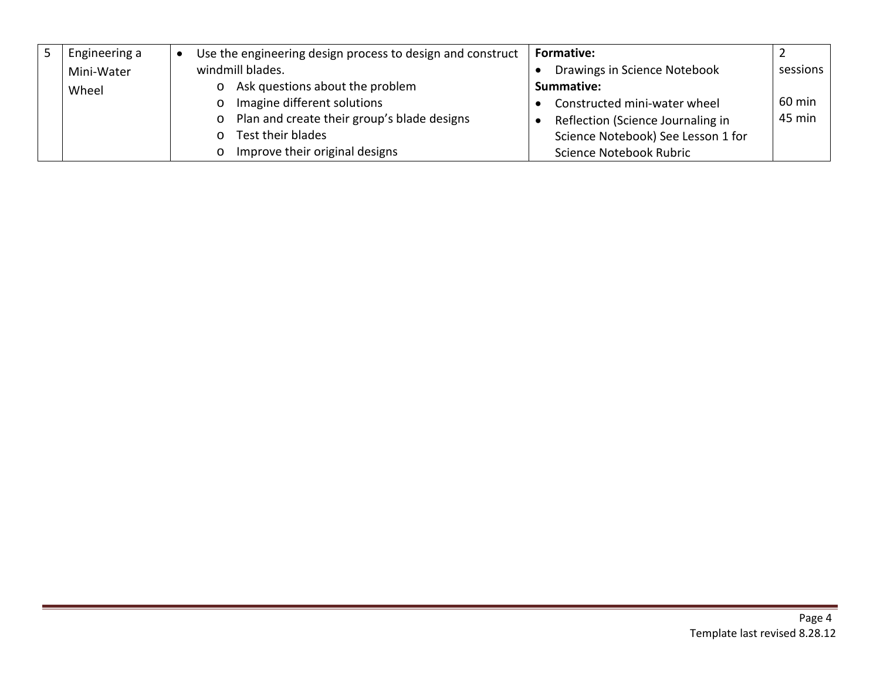| Engineering a | Use the engineering design process to design and construct | <b>Formative:</b>                  |          |
|---------------|------------------------------------------------------------|------------------------------------|----------|
| Mini-Water    | windmill blades.                                           | Drawings in Science Notebook       | sessions |
| Wheel         | Ask questions about the problem                            | Summative:                         |          |
|               | Imagine different solutions                                | Constructed mini-water wheel       | 60 min   |
|               | Plan and create their group's blade designs<br>$\circ$     | Reflection (Science Journaling in  | 45 min   |
|               | Test their blades                                          | Science Notebook) See Lesson 1 for |          |
|               | Improve their original designs                             | Science Notebook Rubric            |          |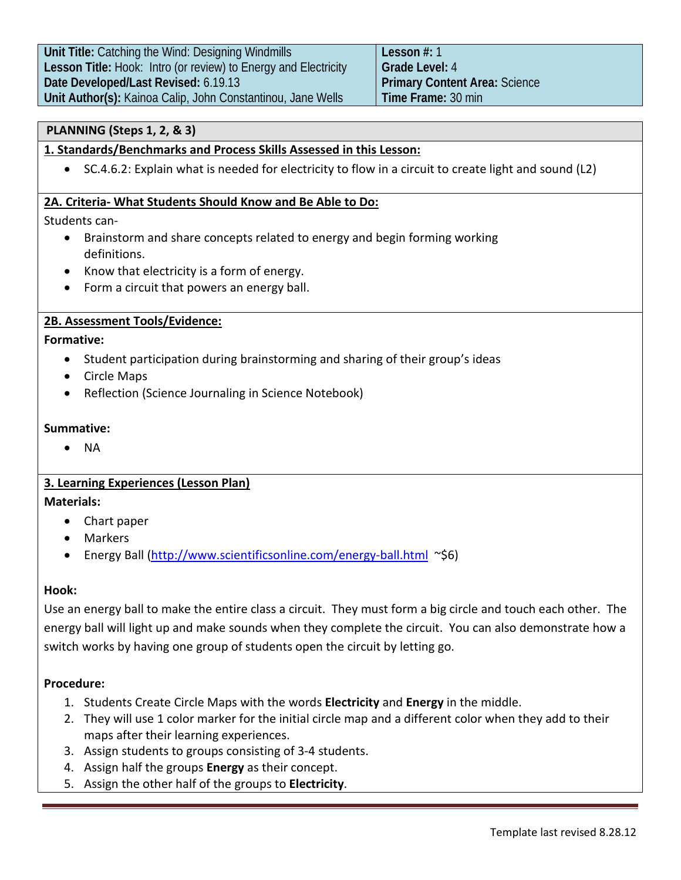## **PLANNING (Steps 1, 2, & 3)**

## **1. Standards/Benchmarks and Process Skills Assessed in this Lesson:**

• SC.4.6.2: Explain what is needed for electricity to flow in a circuit to create light and sound (L2)

## **2A. Criteria- What Students Should Know and Be Able to Do:**

Students can-

- Brainstorm and share concepts related to energy and begin forming working definitions.
- Know that electricity is a form of energy.
- Form a circuit that powers an energy ball.

## **2B. Assessment Tools/Evidence:**

## **Formative:**

- Student participation during brainstorming and sharing of their group's ideas
- Circle Maps
- Reflection (Science Journaling in Science Notebook)

## **Summative:**

• NA

## **3. Learning Experiences (Lesson Plan)**

## **Materials:**

- Chart paper
- Markers
- Energy Ball [\(http://www.scientificsonline.com/energy-ball.html](http://www.scientificsonline.com/energy-ball.html) ~\$6)

## **Hook:**

Use an energy ball to make the entire class a circuit. They must form a big circle and touch each other. The energy ball will light up and make sounds when they complete the circuit. You can also demonstrate how a switch works by having one group of students open the circuit by letting go.

## **Procedure:**

- 1. Students Create Circle Maps with the words **Electricity** and **Energy** in the middle.
- 2. They will use 1 color marker for the initial circle map and a different color when they add to their maps after their learning experiences.
- 3. Assign students to groups consisting of 3-4 students.
- 4. Assign half the groups **Energy** as their concept.
- 5. Assign the other half of the groups to **Electricity**.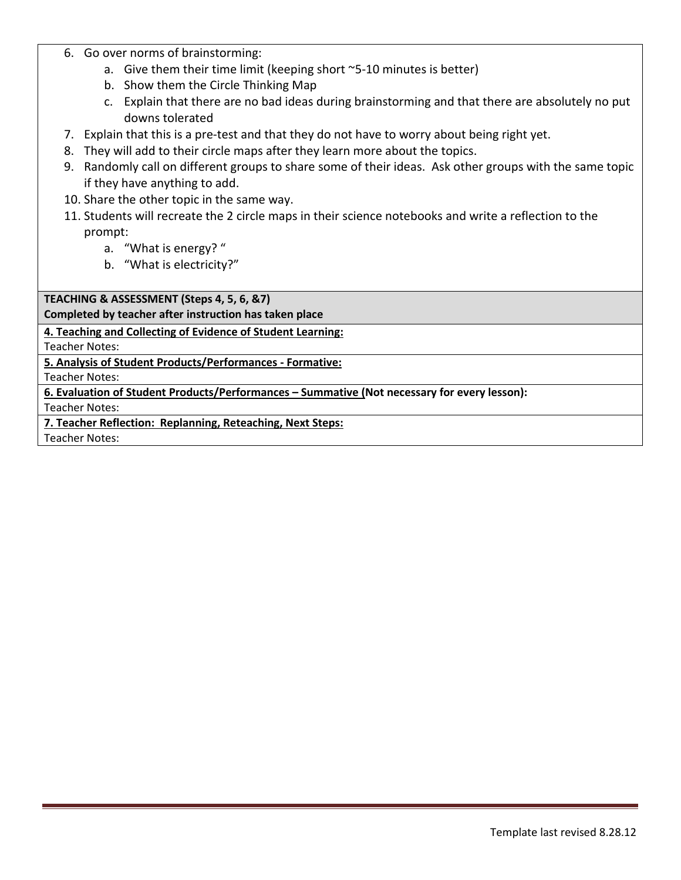- 6. Go over norms of brainstorming:
	- a. Give them their time limit (keeping short ~5-10 minutes is better)
	- b. Show them the Circle Thinking Map
	- c. Explain that there are no bad ideas during brainstorming and that there are absolutely no put downs tolerated
- 7. Explain that this is a pre-test and that they do not have to worry about being right yet.
- 8. They will add to their circle maps after they learn more about the topics.
- 9. Randomly call on different groups to share some of their ideas. Ask other groups with the same topic if they have anything to add.
- 10. Share the other topic in the same way.
- 11. Students will recreate the 2 circle maps in their science notebooks and write a reflection to the prompt:
	- a. "What is energy? "
	- b. "What is electricity?"

**TEACHING & ASSESSMENT (Steps 4, 5, 6, &7)**

**Completed by teacher after instruction has taken place**

**4. Teaching and Collecting of Evidence of Student Learning:**

Teacher Notes:

**5. Analysis of Student Products/Performances - Formative:**

Teacher Notes:

**6. Evaluation of Student Products/Performances – Summative (Not necessary for every lesson):**

Teacher Notes:

**7. Teacher Reflection: Replanning, Reteaching, Next Steps:**

Teacher Notes: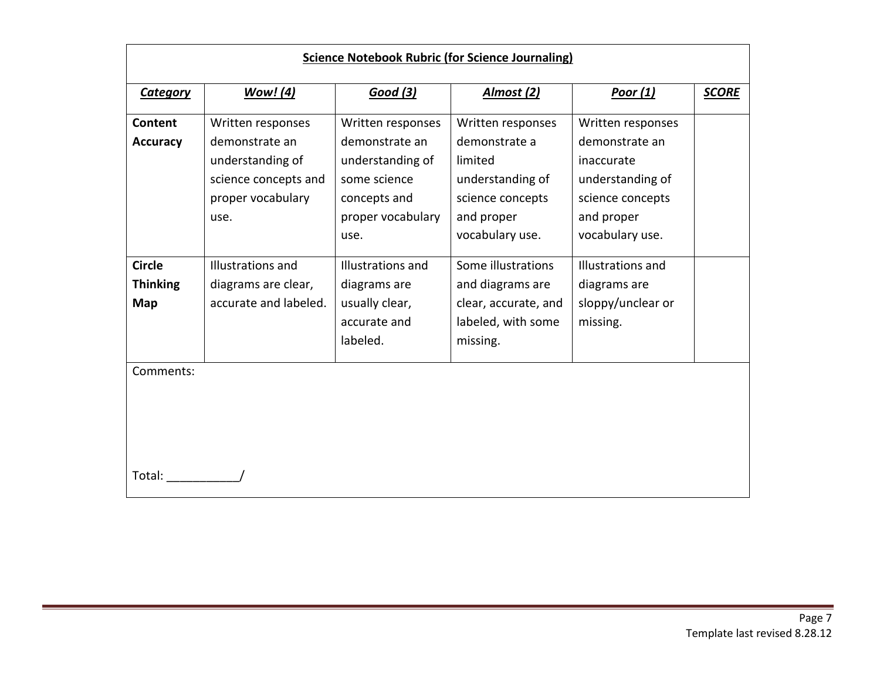| <b>Science Notebook Rubric (for Science Journaling)</b> |                       |                   |                      |                   |              |  |
|---------------------------------------------------------|-----------------------|-------------------|----------------------|-------------------|--------------|--|
| <b>Category</b>                                         | <b>Wow!</b> (4)       | <b>Good</b> (3)   | Almost (2)           | Poor $(1)$        | <b>SCORE</b> |  |
| <b>Content</b>                                          | Written responses     | Written responses | Written responses    | Written responses |              |  |
| <b>Accuracy</b>                                         | demonstrate an        | demonstrate an    | demonstrate a        | demonstrate an    |              |  |
|                                                         | understanding of      | understanding of  | limited              | inaccurate        |              |  |
|                                                         | science concepts and  | some science      | understanding of     | understanding of  |              |  |
|                                                         | proper vocabulary     | concepts and      | science concepts     | science concepts  |              |  |
|                                                         | use.                  | proper vocabulary | and proper           | and proper        |              |  |
|                                                         |                       | use.              | vocabulary use.      | vocabulary use.   |              |  |
| <b>Circle</b>                                           | Illustrations and     | Illustrations and | Some illustrations   | Illustrations and |              |  |
| <b>Thinking</b>                                         | diagrams are clear,   | diagrams are      | and diagrams are     | diagrams are      |              |  |
| Map                                                     | accurate and labeled. | usually clear,    | clear, accurate, and | sloppy/unclear or |              |  |
|                                                         |                       | accurate and      | labeled, with some   | missing.          |              |  |
|                                                         |                       | labeled.          | missing.             |                   |              |  |
| Comments:                                               |                       |                   |                      |                   |              |  |
|                                                         |                       |                   |                      |                   |              |  |
|                                                         |                       |                   |                      |                   |              |  |
|                                                         |                       |                   |                      |                   |              |  |
|                                                         |                       |                   |                      |                   |              |  |
|                                                         |                       |                   |                      |                   |              |  |
| Total:                                                  |                       |                   |                      |                   |              |  |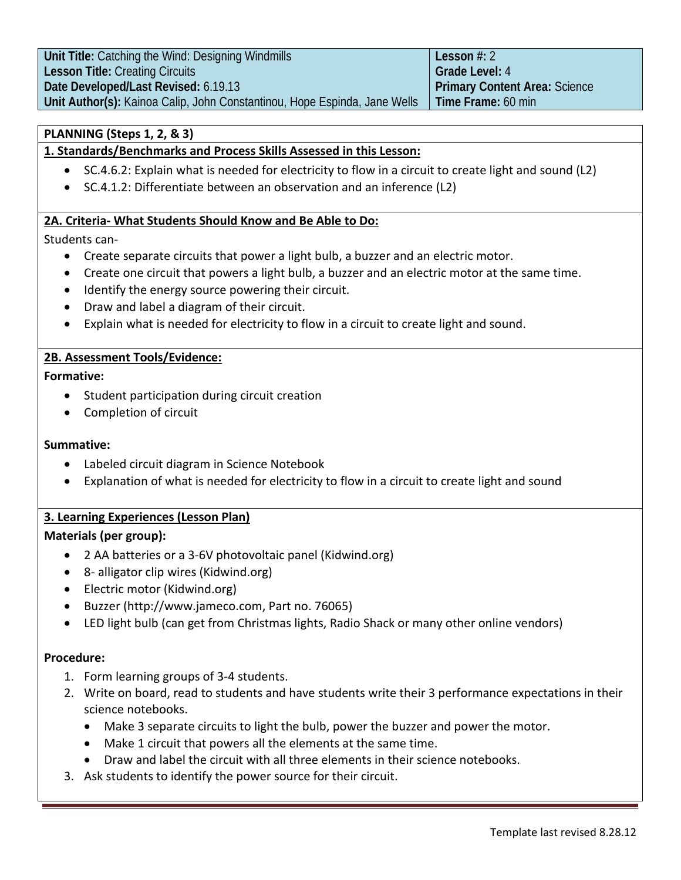| Unit Title: Catching the Wind: Designing Windmills                        | Lesson $#: 2$                        |
|---------------------------------------------------------------------------|--------------------------------------|
| <b>Lesson Title: Creating Circuits</b>                                    | Grade Level: 4                       |
| Date Developed/Last Revised: 6.19.13                                      | <b>Primary Content Area: Science</b> |
| Unit Author(s): Kainoa Calip, John Constantinou, Hope Espinda, Jane Wells | l Time Frame: 60 min                 |

## **PLANNING (Steps 1, 2, & 3)**

## **1. Standards/Benchmarks and Process Skills Assessed in this Lesson:**

- SC.4.6.2: Explain what is needed for electricity to flow in a circuit to create light and sound (L2)
- SC.4.1.2: Differentiate between an observation and an inference (L2)

#### **2A. Criteria- What Students Should Know and Be Able to Do:**

#### Students can-

- Create separate circuits that power a light bulb, a buzzer and an electric motor.
- Create one circuit that powers a light bulb, a buzzer and an electric motor at the same time.
- Identify the energy source powering their circuit.
- Draw and label a diagram of their circuit.
- Explain what is needed for electricity to flow in a circuit to create light and sound.

#### **2B. Assessment Tools/Evidence:**

#### **Formative:**

- Student participation during circuit creation
- Completion of circuit

#### **Summative:**

- Labeled circuit diagram in Science Notebook
- Explanation of what is needed for electricity to flow in a circuit to create light and sound

## **3. Learning Experiences (Lesson Plan)**

#### **Materials (per group):**

- 2 AA batteries or a 3-6V photovoltaic panel (Kidwind.org)
- 8- alligator clip wires (Kidwind.org)
- Electric motor (Kidwind.org)
- Buzzer [\(http://www.jameco.com,](http://www.jameco.com/) Part no. 76065)
- LED light bulb (can get from Christmas lights, Radio Shack or many other online vendors)

#### **Procedure:**

- 1. Form learning groups of 3-4 students.
- 2. Write on board, read to students and have students write their 3 performance expectations in their science notebooks.
	- Make 3 separate circuits to light the bulb, power the buzzer and power the motor.
	- Make 1 circuit that powers all the elements at the same time.
	- Draw and label the circuit with all three elements in their science notebooks.
- 3. Ask students to identify the power source for their circuit.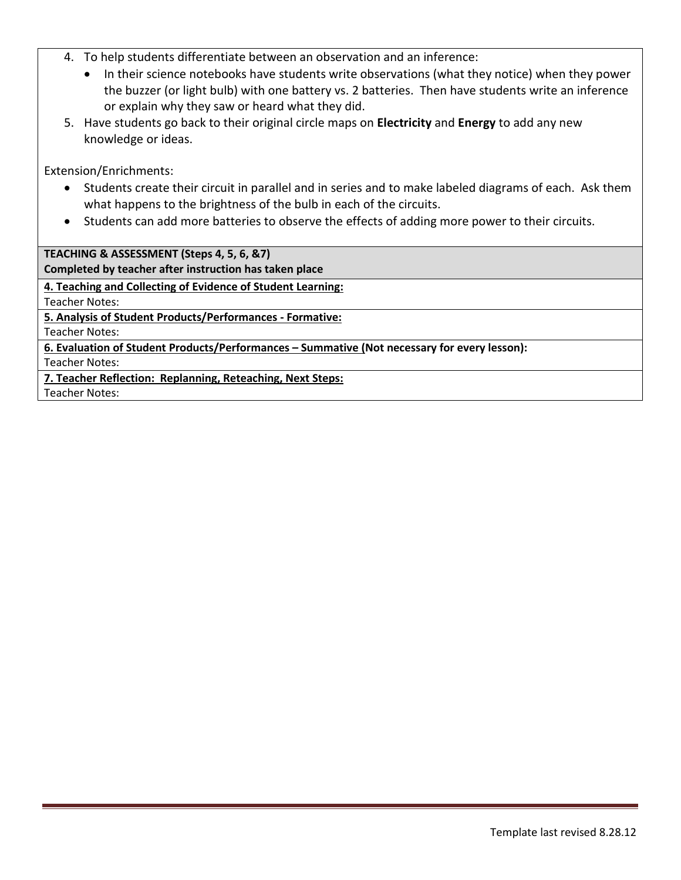- 4. To help students differentiate between an observation and an inference:
	- In their science notebooks have students write observations (what they notice) when they power the buzzer (or light bulb) with one battery vs. 2 batteries. Then have students write an inference or explain why they saw or heard what they did.
- 5. Have students go back to their original circle maps on **Electricity** and **Energy** to add any new knowledge or ideas.

Extension/Enrichments:

- Students create their circuit in parallel and in series and to make labeled diagrams of each. Ask them what happens to the brightness of the bulb in each of the circuits.
- Students can add more batteries to observe the effects of adding more power to their circuits.

**TEACHING & ASSESSMENT (Steps 4, 5, 6, &7)**

**Completed by teacher after instruction has taken place**

**4. Teaching and Collecting of Evidence of Student Learning:**

Teacher Notes:

**5. Analysis of Student Products/Performances - Formative:**

Teacher Notes:

**6. Evaluation of Student Products/Performances – Summative (Not necessary for every lesson):**

Teacher Notes:

**7. Teacher Reflection: Replanning, Reteaching, Next Steps:**

Teacher Notes: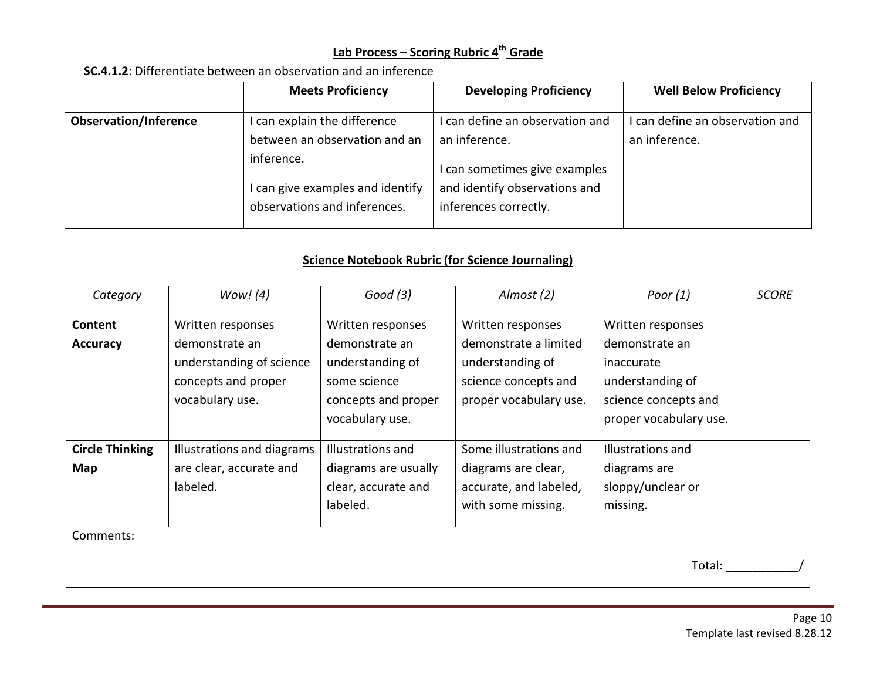## **Lab Process – Scoring Rubric 4th Grade**

## **SC.4.1.2**: Differentiate between an observation and an inference

|                              | <b>Meets Proficiency</b>                                                                                                                        | <b>Developing Proficiency</b>                                                                                                               | <b>Well Below Proficiency</b>                    |
|------------------------------|-------------------------------------------------------------------------------------------------------------------------------------------------|---------------------------------------------------------------------------------------------------------------------------------------------|--------------------------------------------------|
| <b>Observation/Inference</b> | I can explain the difference<br>between an observation and an<br>inference.<br>I can give examples and identify<br>observations and inferences. | I can define an observation and<br>an inference.<br>I can sometimes give examples<br>and identify observations and<br>inferences correctly. | I can define an observation and<br>an inference. |

| <b>Science Notebook Rubric (for Science Journaling)</b> |                                                                                                           |                                                                                                                   |                                                                                                                  |                                                                                                                         |              |
|---------------------------------------------------------|-----------------------------------------------------------------------------------------------------------|-------------------------------------------------------------------------------------------------------------------|------------------------------------------------------------------------------------------------------------------|-------------------------------------------------------------------------------------------------------------------------|--------------|
| <b>Category</b>                                         | Wow! (4)                                                                                                  | Good(3)                                                                                                           | Almost (2)                                                                                                       | Poor $(1)$                                                                                                              | <b>SCORE</b> |
| Content<br><b>Accuracy</b>                              | Written responses<br>demonstrate an<br>understanding of science<br>concepts and proper<br>vocabulary use. | Written responses<br>demonstrate an<br>understanding of<br>some science<br>concepts and proper<br>vocabulary use. | Written responses<br>demonstrate a limited<br>understanding of<br>science concepts and<br>proper vocabulary use. | Written responses<br>demonstrate an<br>inaccurate<br>understanding of<br>science concepts and<br>proper vocabulary use. |              |
| <b>Circle Thinking</b><br>Map<br>Comments:              | Illustrations and diagrams<br>are clear, accurate and<br>labeled.                                         | Illustrations and<br>diagrams are usually<br>clear, accurate and<br>labeled.                                      | Some illustrations and<br>diagrams are clear,<br>accurate, and labeled,<br>with some missing.                    | Illustrations and<br>diagrams are<br>sloppy/unclear or<br>missing.<br>Total:                                            |              |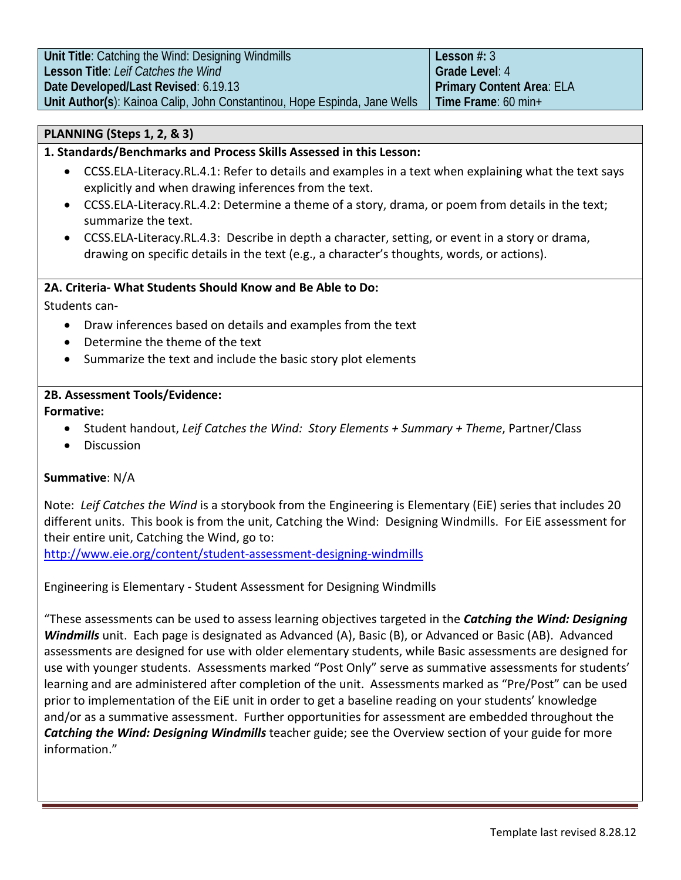| Unit Title: Catching the Wind: Designing Windmills                        | Lesson $#: 3$             |
|---------------------------------------------------------------------------|---------------------------|
| Lesson Title: Leif Catches the Wind                                       | Grade Level: 4            |
| Date Developed/Last Revised: 6.19.13                                      | Primary Content Area: ELA |
| Unit Author(s): Kainoa Calip, John Constantinou, Hope Espinda, Jane Wells | Time Frame: $60$ min+     |

## **PLANNING (Steps 1, 2, & 3)**

## **1. Standards/Benchmarks and Process Skills Assessed in this Lesson:**

- CCSS.ELA-Literacy.RL.4.1: Refer to details and examples in a text when explaining what the text says explicitly and when drawing inferences from the text.
- CCSS.ELA-Literacy.RL.4.2: Determine a theme of a story, drama, or poem from details in the text; summarize the text.
- CCSS.ELA-Literacy.RL.4.3: Describe in depth a character, setting, or event in a story or drama, drawing on specific details in the text (e.g., a character's thoughts, words, or actions).

#### **2A. Criteria- What Students Should Know and Be Able to Do:**

Students can-

- Draw inferences based on details and examples from the text
- Determine the theme of the text
- Summarize the text and include the basic story plot elements

## **2B. Assessment Tools/Evidence:**

## **Formative:**

- Student handout, *Leif Catches the Wind: Story Elements + Summary + Theme*, Partner/Class
- Discussion

## **Summative**: N/A

Note: *Leif Catches the Wind* is a storybook from the Engineering is Elementary (EiE) series that includes 20 different units. This book is from the unit, Catching the Wind: Designing Windmills. For EiE assessment for their entire unit, Catching the Wind, go to:

<http://www.eie.org/content/student-assessment-designing-windmills>

Engineering is Elementary - Student Assessment for Designing Windmills

"These assessments can be used to assess learning objectives targeted in the *Catching the Wind: Designing Windmills* unit. Each page is designated as Advanced (A), Basic (B), or Advanced or Basic (AB). Advanced assessments are designed for use with older elementary students, while Basic assessments are designed for use with younger students. Assessments marked "Post Only" serve as summative assessments for students' learning and are administered after completion of the unit. Assessments marked as "Pre/Post" can be used prior to implementation of the EiE unit in order to get a baseline reading on your students' knowledge and/or as a summative assessment. Further opportunities for assessment are embedded throughout the *Catching the Wind: Designing Windmills* teacher guide; see the Overview section of your guide for more information."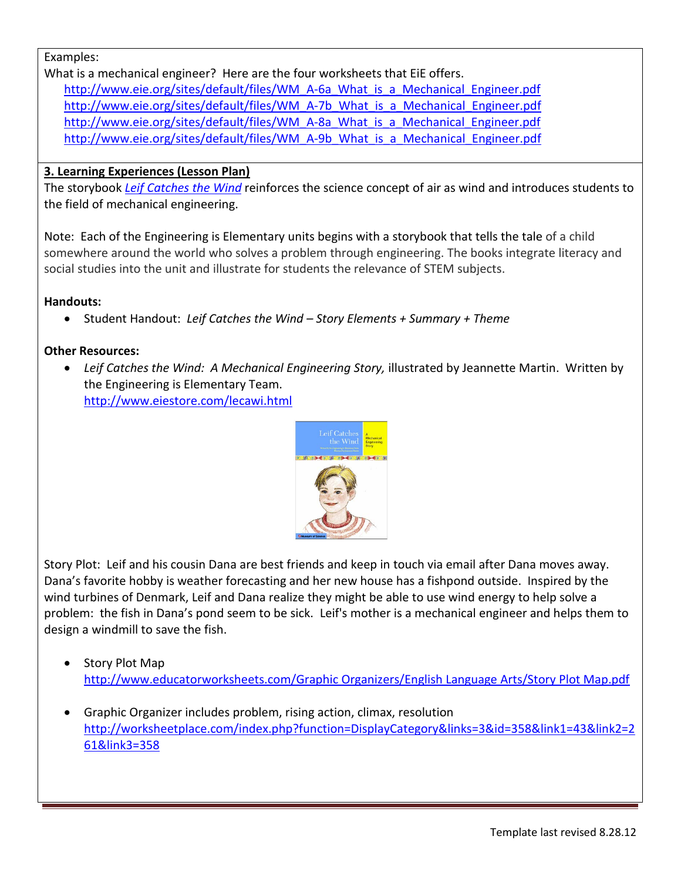## Examples:

What is a mechanical engineer? Here are the four worksheets that EiE offers. [http://www.eie.org/sites/default/files/WM\\_A-6a\\_What\\_is\\_a\\_Mechanical\\_Engineer.pdf](http://www.eie.org/sites/default/files/WM_A-6a_What_is_a_Mechanical_Engineer.pdf) [http://www.eie.org/sites/default/files/WM\\_A-7b\\_What\\_is\\_a\\_Mechanical\\_Engineer.pdf](http://www.eie.org/sites/default/files/WM_A-7b_What_is_a_Mechanical_Engineer.pdf) [http://www.eie.org/sites/default/files/WM\\_A-8a\\_What\\_is\\_a\\_Mechanical\\_Engineer.pdf](http://www.eie.org/sites/default/files/WM_A-8a_What_is_a_Mechanical_Engineer.pdf) [http://www.eie.org/sites/default/files/WM\\_A-9b\\_What\\_is\\_a\\_Mechanical\\_Engineer.pdf](http://www.eie.org/sites/default/files/WM_A-9b_What_is_a_Mechanical_Engineer.pdf)

## **3. Learning Experiences (Lesson Plan)**

The storybook *[Leif Catches the Wind](http://www.eiestore.com/lecawi.html)* reinforces the science concept of air as wind and introduces students to the field of mechanical engineering.

Note: Each of the Engineering is Elementary units begins with a storybook that tells the tale of a child somewhere around the world who solves a problem through engineering. The books integrate literacy and social studies into the unit and illustrate for students the relevance of STEM subjects.

## **Handouts:**

• Student Handout: *Leif Catches the Wind – Story Elements + Summary + Theme*

## **Other Resources:**

• *Leif Catches the Wind: A Mechanical Engineering Story,* illustrated by Jeannette Martin. Written by the Engineering is Elementary Team. <http://www.eiestore.com/lecawi.html>



Story Plot: Leif and his cousin Dana are best friends and keep in touch via email after Dana moves away. Dana's favorite hobby is weather forecasting and her new house has a fishpond outside. Inspired by the wind turbines of Denmark, Leif and Dana realize they might be able to use wind energy to help solve a problem: the fish in Dana's pond seem to be sick. Leif's mother is a mechanical engineer and helps them to design a windmill to save the fish.

- Story Plot Map [http://www.educatorworksheets.com/Graphic Organizers/English Language Arts/Story Plot Map.pdf](http://www.educatorworksheets.com/Graphic%20Organizers/English%20Language%20Arts/Story%20Plot%20Map.pdf)
- Graphic Organizer includes problem, rising action, climax, resolution [http://worksheetplace.com/index.php?function=DisplayCategory&links=3&id=358&link1=43&link2=2](http://worksheetplace.com/index.php?function=DisplayCategory&links=3&id=358&link1=43&link2=261&link3=358) [61&link3=358](http://worksheetplace.com/index.php?function=DisplayCategory&links=3&id=358&link1=43&link2=261&link3=358)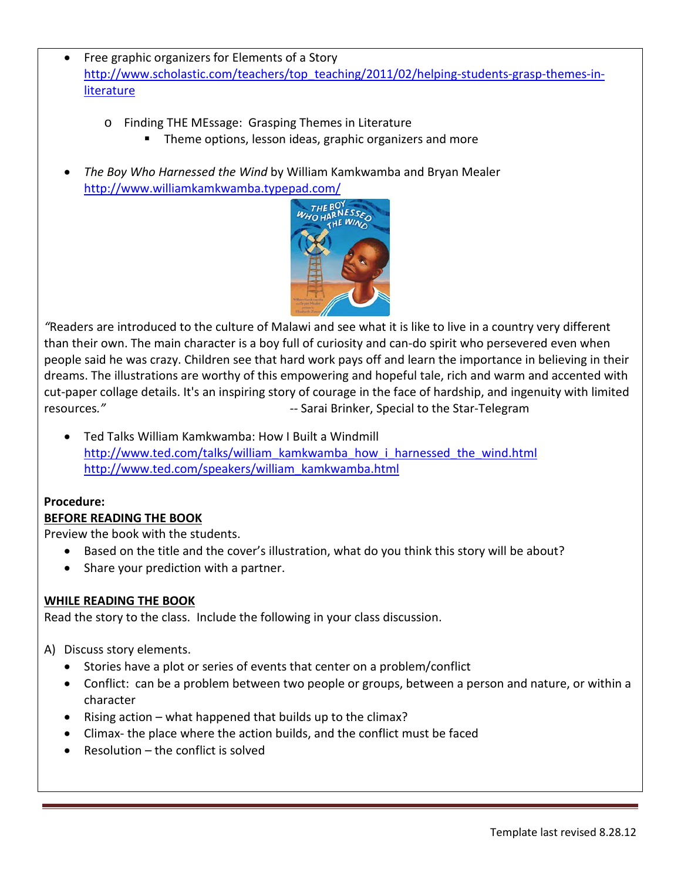- Free graphic organizers for Elements of a Story [http://www.scholastic.com/teachers/top\\_teaching/2011/02/helping-students-grasp-themes-in](http://www.scholastic.com/teachers/top_teaching/2011/02/helping-students-grasp-themes-in-literature)[literature](http://www.scholastic.com/teachers/top_teaching/2011/02/helping-students-grasp-themes-in-literature)
	- o Finding THE MEssage: Grasping Themes in Literature
		- Theme options, lesson ideas, graphic organizers and more
- *The Boy Who Harnessed the Wind* by William Kamkwamba and Bryan Mealer <http://www.williamkamkwamba.typepad.com/>



*"*Readers are introduced to the culture of Malawi and see what it is like to live in a country very different than their own. The main character is a boy full of curiosity and can-do spirit who persevered even when people said he was crazy. Children see that hard work pays off and learn the importance in believing in their dreams. The illustrations are worthy of this empowering and hopeful tale, rich and warm and accented with cut-paper collage details. It's an inspiring story of courage in the face of hardship, and ingenuity with limited resources*." --* Sarai Brinker, Special to the Star-Telegram

• Ted Talks William Kamkwamba: How I Built a Windmill [http://www.ted.com/talks/william\\_kamkwamba\\_how\\_i\\_harnessed\\_the\\_wind.html](http://www.ted.com/talks/william_kamkwamba_how_i_harnessed_the_wind.html) [http://www.ted.com/speakers/william\\_kamkwamba.html](http://www.ted.com/speakers/william_kamkwamba.html)

## **Procedure:**

## **BEFORE READING THE BOOK**

Preview the book with the students.

- Based on the title and the cover's illustration, what do you think this story will be about?
- Share your prediction with a partner.

## **WHILE READING THE BOOK**

Read the story to the class. Include the following in your class discussion.

A) Discuss story elements.

- Stories have a plot or series of events that center on a problem/conflict
- Conflict: can be a problem between two people or groups, between a person and nature, or within a character
- Rising action what happened that builds up to the climax?
- Climax- the place where the action builds, and the conflict must be faced
- $\bullet$  Resolution the conflict is solved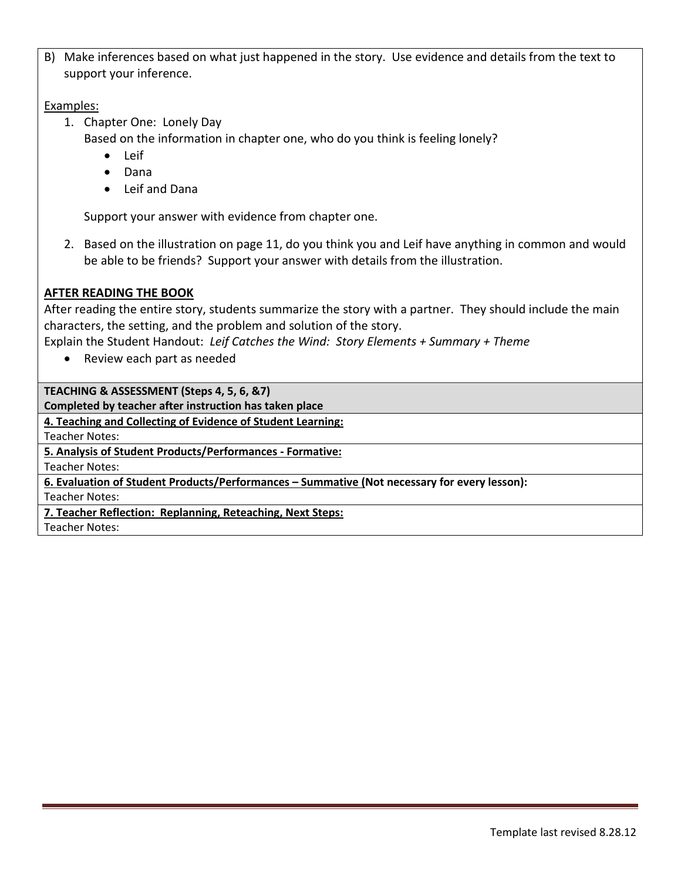B) Make inferences based on what just happened in the story. Use evidence and details from the text to support your inference.

## Examples:

- 1. Chapter One: Lonely Day
	- Based on the information in chapter one, who do you think is feeling lonely?
		- Leif
		- Dana
		- Leif and Dana

Support your answer with evidence from chapter one.

2. Based on the illustration on page 11, do you think you and Leif have anything in common and would be able to be friends? Support your answer with details from the illustration.

## **AFTER READING THE BOOK**

After reading the entire story, students summarize the story with a partner. They should include the main characters, the setting, and the problem and solution of the story.

Explain the Student Handout: *Leif Catches the Wind: Story Elements + Summary + Theme*

• Review each part as needed

**TEACHING & ASSESSMENT (Steps 4, 5, 6, &7)**

**Completed by teacher after instruction has taken place**

**4. Teaching and Collecting of Evidence of Student Learning:**

Teacher Notes:

**5. Analysis of Student Products/Performances - Formative:**

Teacher Notes:

**6. Evaluation of Student Products/Performances – Summative (Not necessary for every lesson):**

Teacher Notes:

**7. Teacher Reflection: Replanning, Reteaching, Next Steps:**

Teacher Notes: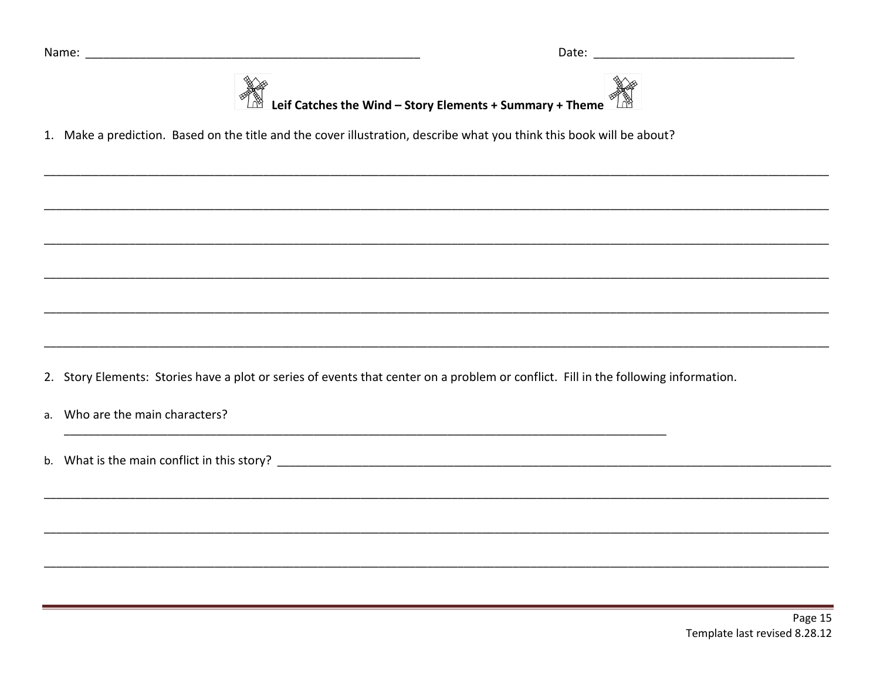



1. Make a prediction. Based on the title and the cover illustration, describe what you think this book will be about?

2. Story Elements: Stories have a plot or series of events that center on a problem or conflict. Fill in the following information.

a. Who are the main characters?

b. What is the main conflict in this story?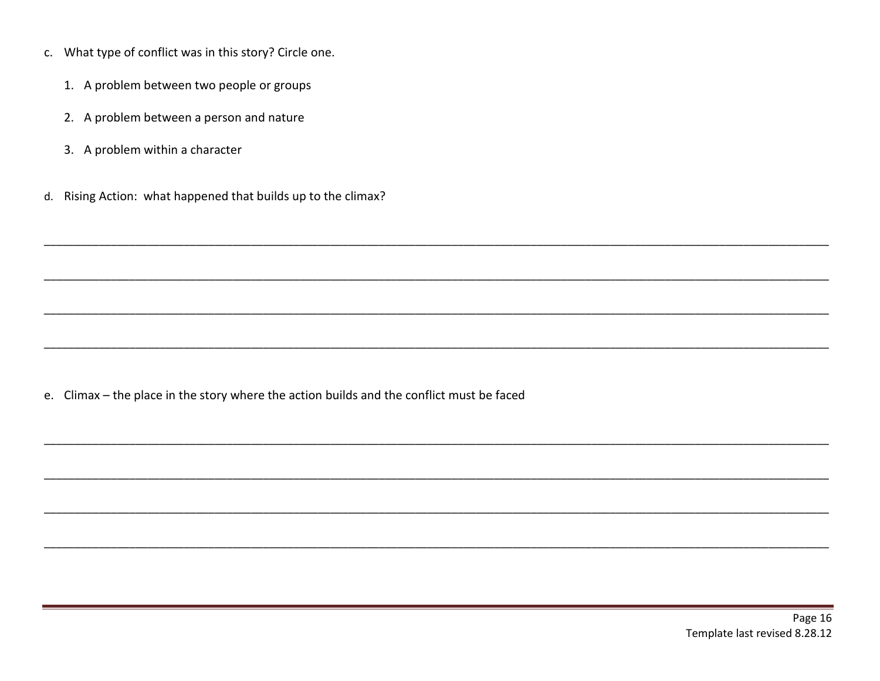- c. What type of conflict was in this story? Circle one.
	- 1. A problem between two people or groups
	- 2. A problem between a person and nature
	- 3. A problem within a character
- d. Rising Action: what happened that builds up to the climax?

e. Climax - the place in the story where the action builds and the conflict must be faced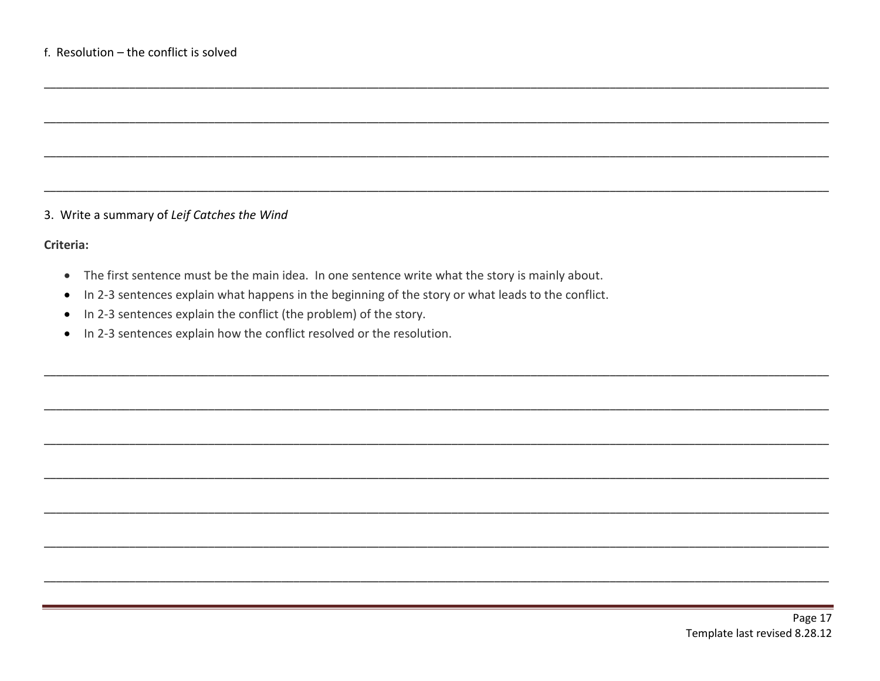### 3. Write a summary of Leif Catches the Wind

#### Criteria:

- The first sentence must be the main idea. In one sentence write what the story is mainly about.
- In 2-3 sentences explain what happens in the beginning of the story or what leads to the conflict.  $\bullet$
- In 2-3 sentences explain the conflict (the problem) of the story.
- In 2-3 sentences explain how the conflict resolved or the resolution.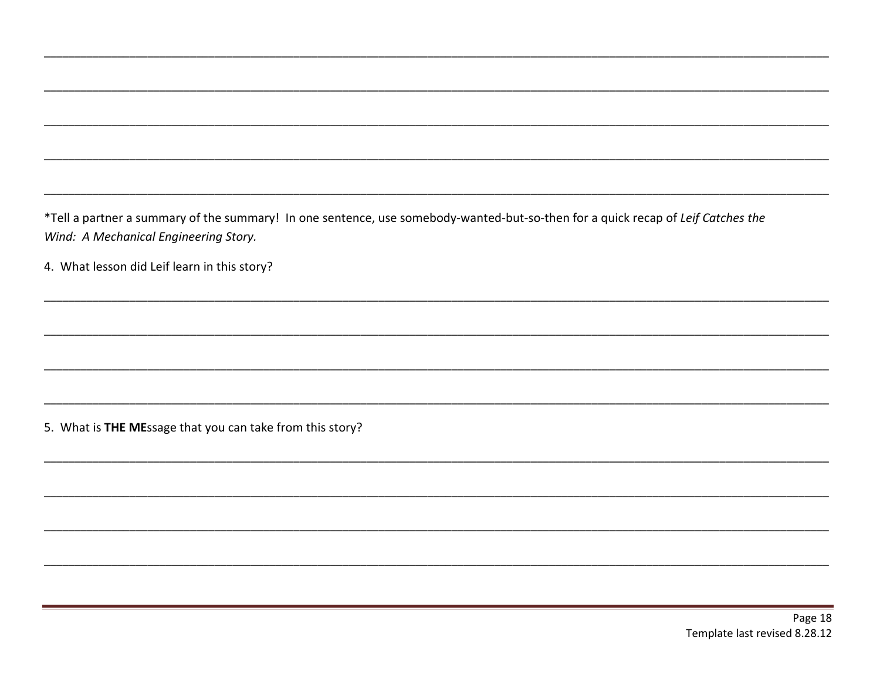\*Tell a partner a summary of the summary! In one sentence, use somebody-wanted-but-so-then for a quick recap of Leif Catches the Wind: A Mechanical Engineering Story.

4. What lesson did Leif learn in this story?

5. What is THE MEssage that you can take from this story?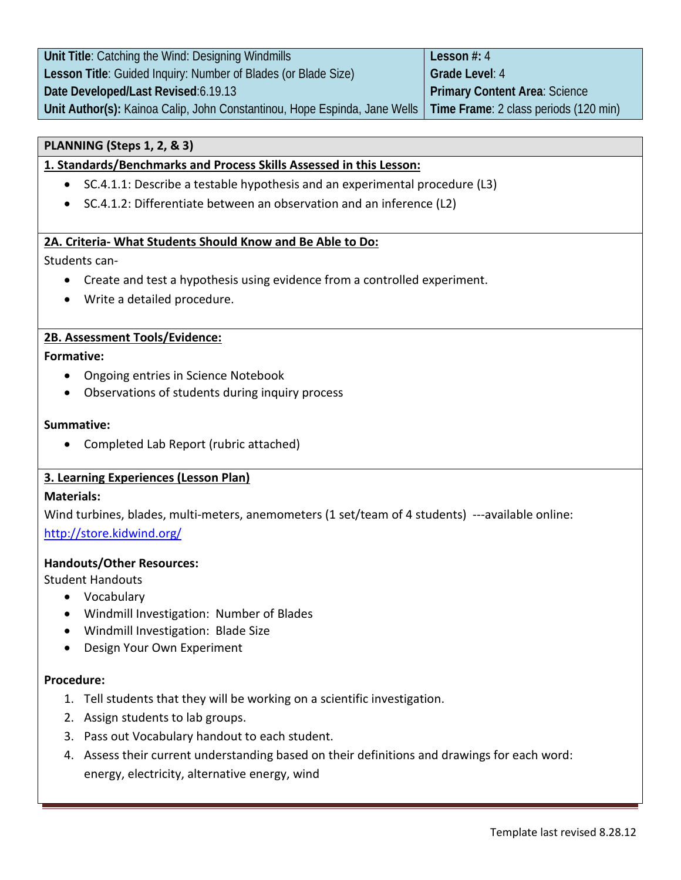| Unit Title: Catching the Wind: Designing Windmills                                                                | Lesson $#: 4$                 |
|-------------------------------------------------------------------------------------------------------------------|-------------------------------|
| Lesson Title: Guided Inquiry: Number of Blades (or Blade Size)                                                    | Grade Level: 4                |
| Date Developed/Last Revised:6.19.13                                                                               | Primary Content Area: Science |
| Unit Author(s): Kainoa Calip, John Constantinou, Hope Espinda, Jane Wells   Time Frame: 2 class periods (120 min) |                               |

## **PLANNING (Steps 1, 2, & 3)**

## **1. Standards/Benchmarks and Process Skills Assessed in this Lesson:**

- SC.4.1.1: Describe a testable hypothesis and an experimental procedure (L3)
- SC.4.1.2: Differentiate between an observation and an inference (L2)

## **2A. Criteria- What Students Should Know and Be Able to Do:**

## Students can-

- Create and test a hypothesis using evidence from a controlled experiment.
- Write a detailed procedure.

## **2B. Assessment Tools/Evidence:**

#### **Formative:**

- Ongoing entries in Science Notebook
- Observations of students during inquiry process

#### **Summative:**

• Completed Lab Report (rubric attached)

#### **3. Learning Experiences (Lesson Plan)**

#### **Materials:**

Wind turbines, blades, multi-meters, anemometers (1 set/team of 4 students) ---available online: <http://store.kidwind.org/>

#### **Handouts/Other Resources:**

Student Handouts

- Vocabulary
- Windmill Investigation: Number of Blades
- Windmill Investigation: Blade Size
- Design Your Own Experiment

#### **Procedure:**

- 1. Tell students that they will be working on a scientific investigation.
- 2. Assign students to lab groups.
- 3. Pass out Vocabulary handout to each student.
- 4. Assess their current understanding based on their definitions and drawings for each word: energy, electricity, alternative energy, wind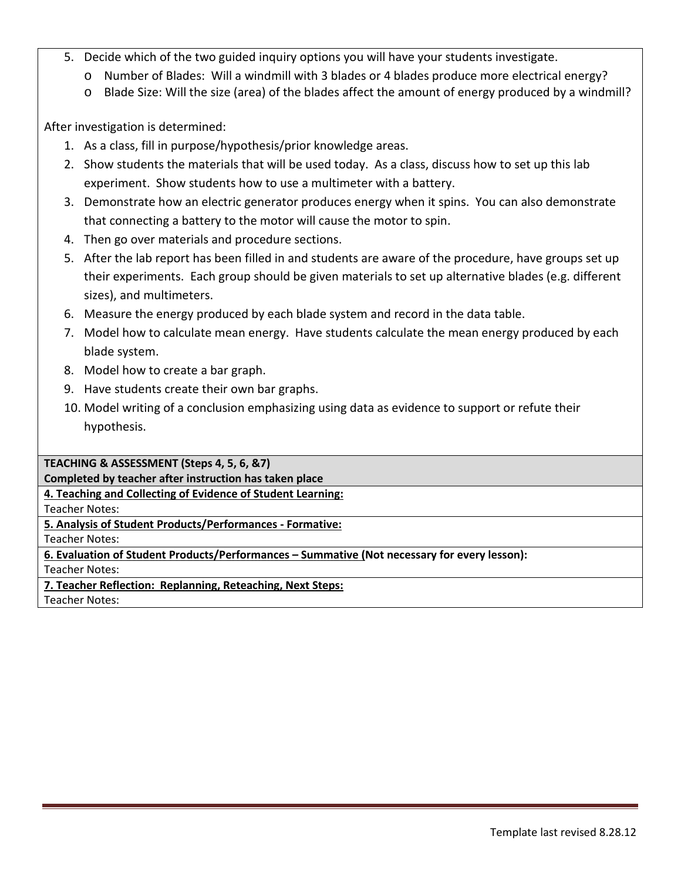- 5. Decide which of the two guided inquiry options you will have your students investigate.
	- o Number of Blades: Will a windmill with 3 blades or 4 blades produce more electrical energy?
	- o Blade Size: Will the size (area) of the blades affect the amount of energy produced by a windmill?

After investigation is determined:

- 1. As a class, fill in purpose/hypothesis/prior knowledge areas.
- 2. Show students the materials that will be used today. As a class, discuss how to set up this lab experiment. Show students how to use a multimeter with a battery.
- 3. Demonstrate how an electric generator produces energy when it spins. You can also demonstrate that connecting a battery to the motor will cause the motor to spin.
- 4. Then go over materials and procedure sections.
- 5. After the lab report has been filled in and students are aware of the procedure, have groups set up their experiments. Each group should be given materials to set up alternative blades (e.g. different sizes), and multimeters.
- 6. Measure the energy produced by each blade system and record in the data table.
- 7. Model how to calculate mean energy. Have students calculate the mean energy produced by each blade system.
- 8. Model how to create a bar graph.
- 9. Have students create their own bar graphs.
- 10. Model writing of a conclusion emphasizing using data as evidence to support or refute their hypothesis.

**TEACHING & ASSESSMENT (Steps 4, 5, 6, &7)**

**Completed by teacher after instruction has taken place**

**4. Teaching and Collecting of Evidence of Student Learning:**

Teacher Notes:

**5. Analysis of Student Products/Performances - Formative:**

Teacher Notes:

**6. Evaluation of Student Products/Performances – Summative (Not necessary for every lesson):**

Teacher Notes:

**7. Teacher Reflection: Replanning, Reteaching, Next Steps:**

Teacher Notes: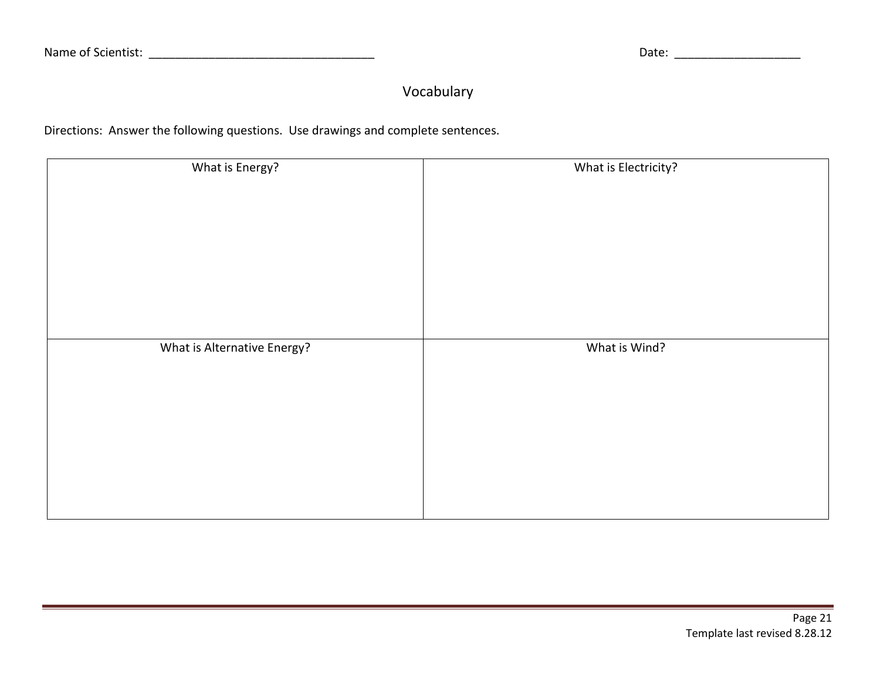# Vocabulary

Directions: Answer the following questions. Use drawings and complete sentences.

| What is Energy?             | What is Electricity? |
|-----------------------------|----------------------|
|                             |                      |
|                             |                      |
|                             |                      |
| What is Alternative Energy? | What is Wind?        |
|                             |                      |
|                             |                      |
|                             |                      |
|                             |                      |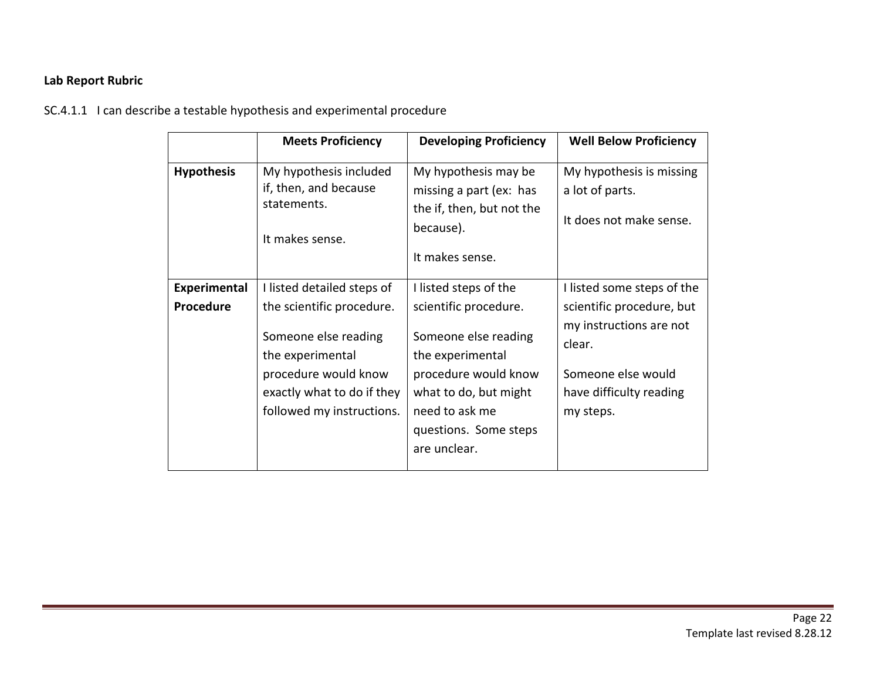## **Lab Report Rubric**

SC.4.1.1 I can describe a testable hypothesis and experimental procedure

|                     | <b>Meets Proficiency</b>                                                                                                                                 | <b>Developing Proficiency</b>                                                                                                                                                 | <b>Well Below Proficiency</b>                                                                                                |
|---------------------|----------------------------------------------------------------------------------------------------------------------------------------------------------|-------------------------------------------------------------------------------------------------------------------------------------------------------------------------------|------------------------------------------------------------------------------------------------------------------------------|
| <b>Hypothesis</b>   | My hypothesis included<br>if, then, and because<br>statements.<br>It makes sense.                                                                        | My hypothesis may be<br>missing a part (ex: has<br>the if, then, but not the<br>because).<br>It makes sense.                                                                  | My hypothesis is missing<br>a lot of parts.<br>It does not make sense.                                                       |
| <b>Experimental</b> | I listed detailed steps of                                                                                                                               | I listed steps of the                                                                                                                                                         | I listed some steps of the                                                                                                   |
| Procedure           | the scientific procedure.<br>Someone else reading<br>the experimental<br>procedure would know<br>exactly what to do if they<br>followed my instructions. | scientific procedure.<br>Someone else reading<br>the experimental<br>procedure would know<br>what to do, but might<br>need to ask me<br>questions. Some steps<br>are unclear. | scientific procedure, but<br>my instructions are not<br>clear.<br>Someone else would<br>have difficulty reading<br>my steps. |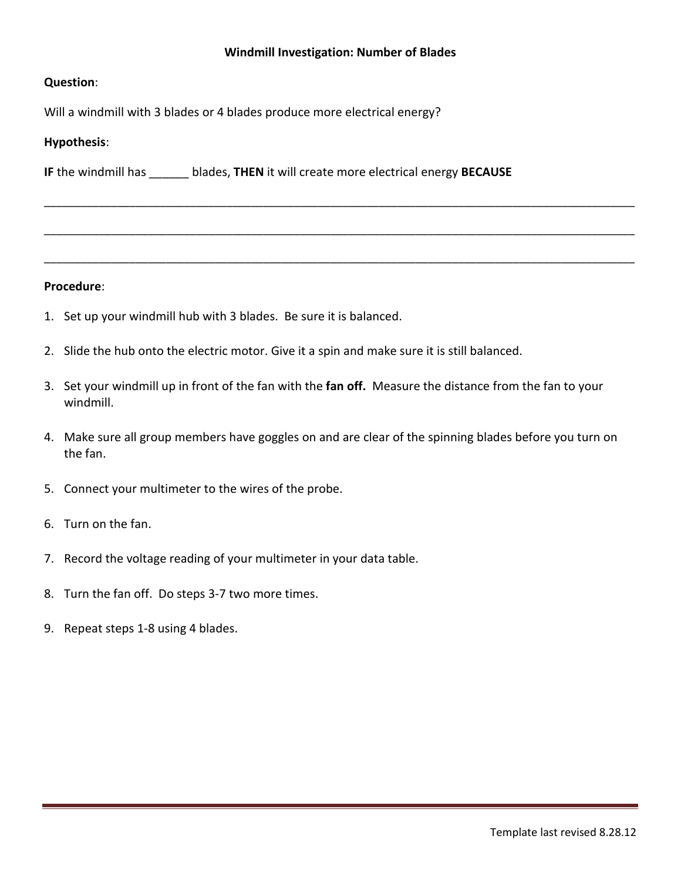#### **Windmill Investigation: Number of Blades**

\_\_\_\_\_\_\_\_\_\_\_\_\_\_\_\_\_\_\_\_\_\_\_\_\_\_\_\_\_\_\_\_\_\_\_\_\_\_\_\_\_\_\_\_\_\_\_\_\_\_\_\_\_\_\_\_\_\_\_\_\_\_\_\_\_\_\_\_\_\_\_\_\_\_\_\_\_\_\_\_\_\_\_\_\_\_\_\_\_\_\_\_\_\_\_\_\_

\_\_\_\_\_\_\_\_\_\_\_\_\_\_\_\_\_\_\_\_\_\_\_\_\_\_\_\_\_\_\_\_\_\_\_\_\_\_\_\_\_\_\_\_\_\_\_\_\_\_\_\_\_\_\_\_\_\_\_\_\_\_\_\_\_\_\_\_\_\_\_\_\_\_\_\_\_\_\_\_\_\_\_\_\_\_\_\_\_\_\_\_\_\_\_\_\_

\_\_\_\_\_\_\_\_\_\_\_\_\_\_\_\_\_\_\_\_\_\_\_\_\_\_\_\_\_\_\_\_\_\_\_\_\_\_\_\_\_\_\_\_\_\_\_\_\_\_\_\_\_\_\_\_\_\_\_\_\_\_\_\_\_\_\_\_\_\_\_\_\_\_\_\_\_\_\_\_\_\_\_\_\_\_\_\_\_\_\_\_\_\_\_\_\_

#### **Question**:

Will a windmill with 3 blades or 4 blades produce more electrical energy?

#### **Hypothesis**:

**IF** the windmill has \_\_\_\_\_\_ blades, **THEN** it will create more electrical energy **BECAUSE**

#### **Procedure**:

- 1. Set up your windmill hub with 3 blades. Be sure it is balanced.
- 2. Slide the hub onto the electric motor. Give it a spin and make sure it is still balanced.
- 3. Set your windmill up in front of the fan with the **fan off.** Measure the distance from the fan to your windmill.
- 4. Make sure all group members have goggles on and are clear of the spinning blades before you turn on the fan.
- 5. Connect your multimeter to the wires of the probe.
- 6. Turn on the fan.
- 7. Record the voltage reading of your multimeter in your data table.
- 8. Turn the fan off. Do steps 3-7 two more times.
- 9. Repeat steps 1-8 using 4 blades.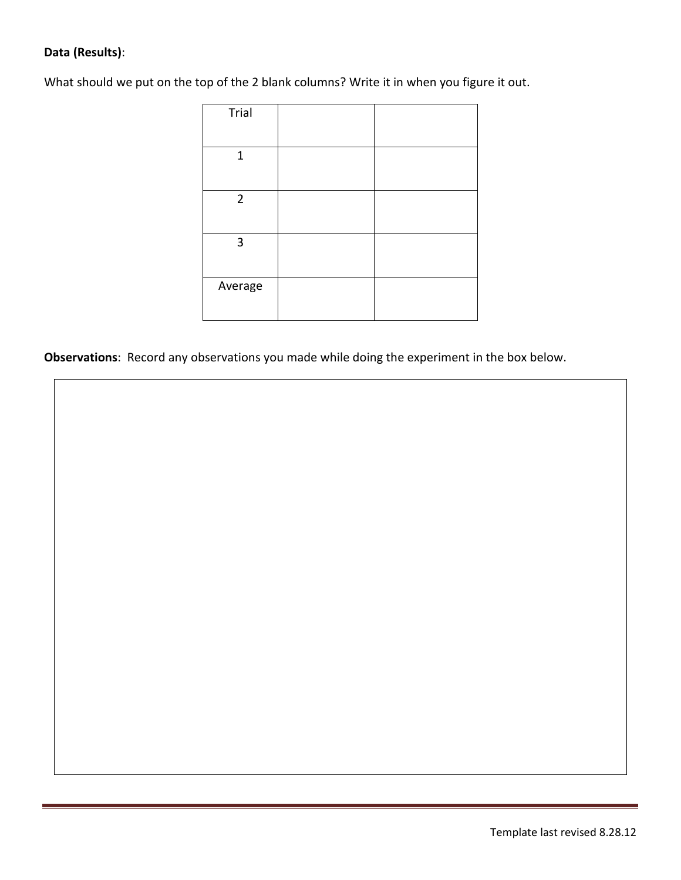## **Data (Results)**:

What should we put on the top of the 2 blank columns? Write it in when you figure it out.

| Trial          |  |
|----------------|--|
| $\mathbf{1}$   |  |
| $\overline{2}$ |  |
| $\mathbf{3}$   |  |
| Average        |  |

**Observations**: Record any observations you made while doing the experiment in the box below.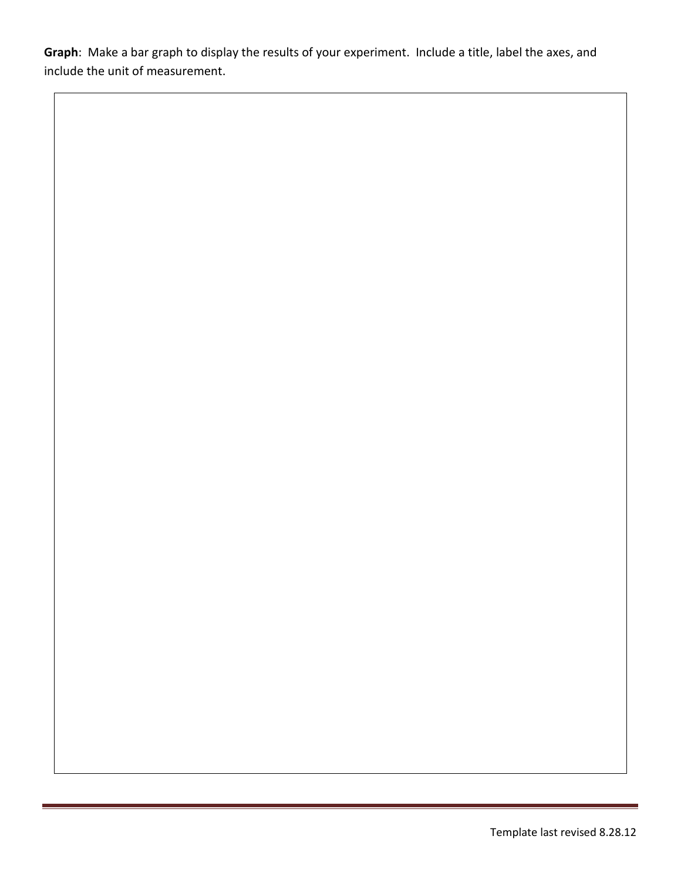**Graph**: Make a bar graph to display the results of your experiment. Include a title, label the axes, and include the unit of measurement.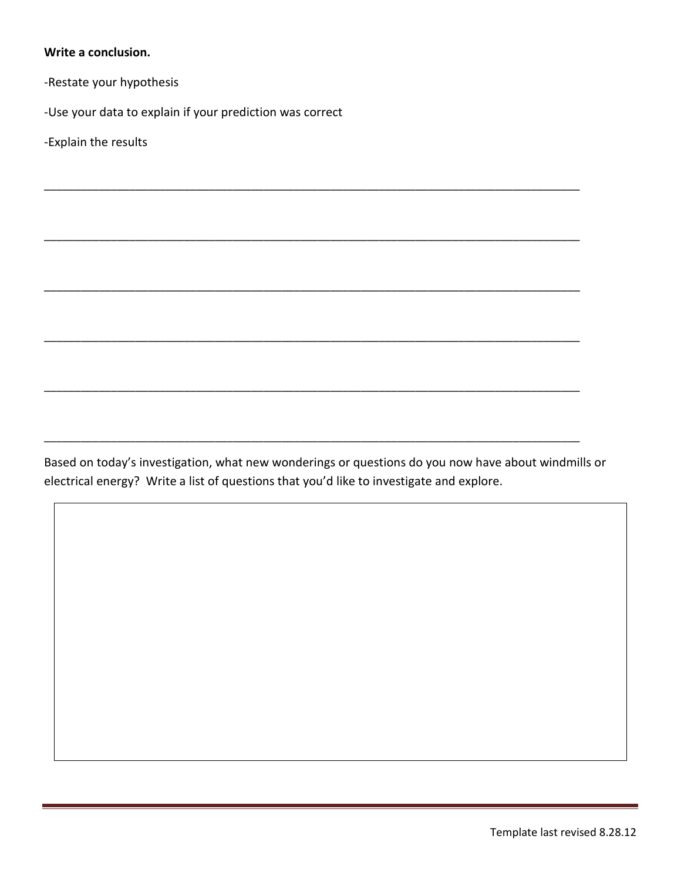#### **Write a conclusion.**

-Restate your hypothesis

-Use your data to explain if your prediction was correct

-Explain the results

Based on today's investigation, what new wonderings or questions do you now have about windmills or electrical energy? Write a list of questions that you'd like to investigate and explore.

\_\_\_\_\_\_\_\_\_\_\_\_\_\_\_\_\_\_\_\_\_\_\_\_\_\_\_\_\_\_\_\_\_\_\_\_\_\_\_\_\_\_\_\_\_\_\_\_\_\_\_\_\_\_\_\_\_\_\_\_\_\_\_\_\_\_\_\_\_\_\_\_\_\_\_\_\_\_\_\_\_\_\_\_\_\_\_\_

\_\_\_\_\_\_\_\_\_\_\_\_\_\_\_\_\_\_\_\_\_\_\_\_\_\_\_\_\_\_\_\_\_\_\_\_\_\_\_\_\_\_\_\_\_\_\_\_\_\_\_\_\_\_\_\_\_\_\_\_\_\_\_\_\_\_\_\_\_\_\_\_\_\_\_\_\_\_\_\_\_\_\_\_\_\_\_\_

\_\_\_\_\_\_\_\_\_\_\_\_\_\_\_\_\_\_\_\_\_\_\_\_\_\_\_\_\_\_\_\_\_\_\_\_\_\_\_\_\_\_\_\_\_\_\_\_\_\_\_\_\_\_\_\_\_\_\_\_\_\_\_\_\_\_\_\_\_\_\_\_\_\_\_\_\_\_\_\_\_\_\_\_\_\_\_\_

\_\_\_\_\_\_\_\_\_\_\_\_\_\_\_\_\_\_\_\_\_\_\_\_\_\_\_\_\_\_\_\_\_\_\_\_\_\_\_\_\_\_\_\_\_\_\_\_\_\_\_\_\_\_\_\_\_\_\_\_\_\_\_\_\_\_\_\_\_\_\_\_\_\_\_\_\_\_\_\_\_\_\_\_\_\_\_\_

\_\_\_\_\_\_\_\_\_\_\_\_\_\_\_\_\_\_\_\_\_\_\_\_\_\_\_\_\_\_\_\_\_\_\_\_\_\_\_\_\_\_\_\_\_\_\_\_\_\_\_\_\_\_\_\_\_\_\_\_\_\_\_\_\_\_\_\_\_\_\_\_\_\_\_\_\_\_\_\_\_\_\_\_\_\_\_\_

\_\_\_\_\_\_\_\_\_\_\_\_\_\_\_\_\_\_\_\_\_\_\_\_\_\_\_\_\_\_\_\_\_\_\_\_\_\_\_\_\_\_\_\_\_\_\_\_\_\_\_\_\_\_\_\_\_\_\_\_\_\_\_\_\_\_\_\_\_\_\_\_\_\_\_\_\_\_\_\_\_\_\_\_\_\_\_\_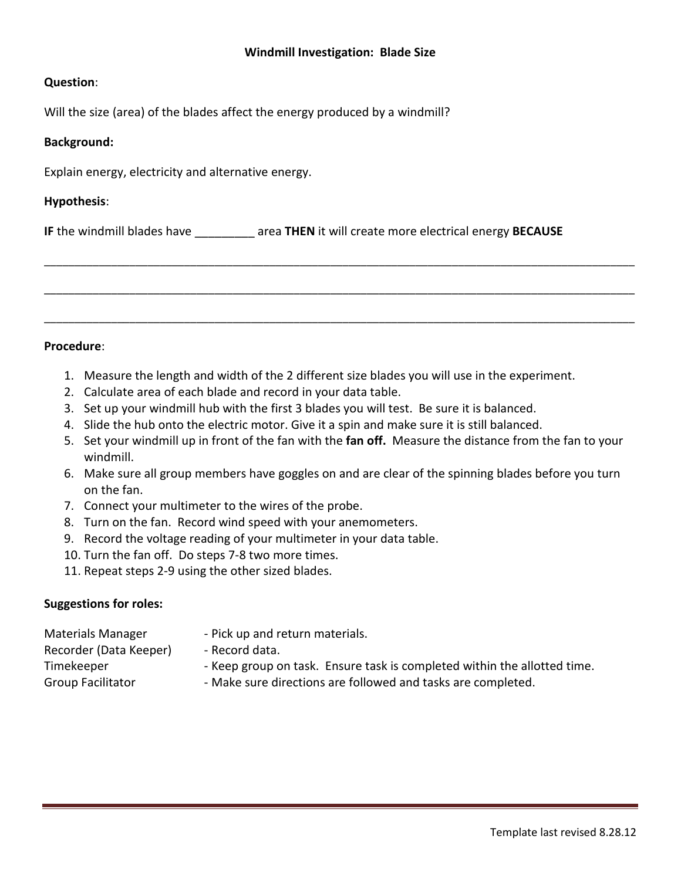#### **Windmill Investigation: Blade Size**

#### **Question**:

Will the size (area) of the blades affect the energy produced by a windmill?

#### **Background:**

Explain energy, electricity and alternative energy.

#### **Hypothesis**:

**IF** the windmill blades have \_\_\_\_\_\_\_\_\_ area **THEN** it will create more electrical energy **BECAUSE**



#### **Procedure**:

- 1. Measure the length and width of the 2 different size blades you will use in the experiment.
- 2. Calculate area of each blade and record in your data table.
- 3. Set up your windmill hub with the first 3 blades you will test. Be sure it is balanced.
- 4. Slide the hub onto the electric motor. Give it a spin and make sure it is still balanced.
- 5. Set your windmill up in front of the fan with the **fan off.** Measure the distance from the fan to your windmill.
- 6. Make sure all group members have goggles on and are clear of the spinning blades before you turn on the fan.
- 7. Connect your multimeter to the wires of the probe.
- 8. Turn on the fan. Record wind speed with your anemometers.
- 9. Record the voltage reading of your multimeter in your data table.
- 10. Turn the fan off. Do steps 7-8 two more times.
- 11. Repeat steps 2-9 using the other sized blades.

#### **Suggestions for roles:**

- Recorder (Data Keeper) Record data.
- Materials Manager Pick up and return materials.
	-
- Timekeeper Keep group on task. Ensure task is completed within the allotted time.
- Group Facilitator  **Make sure directions are followed and tasks are completed.**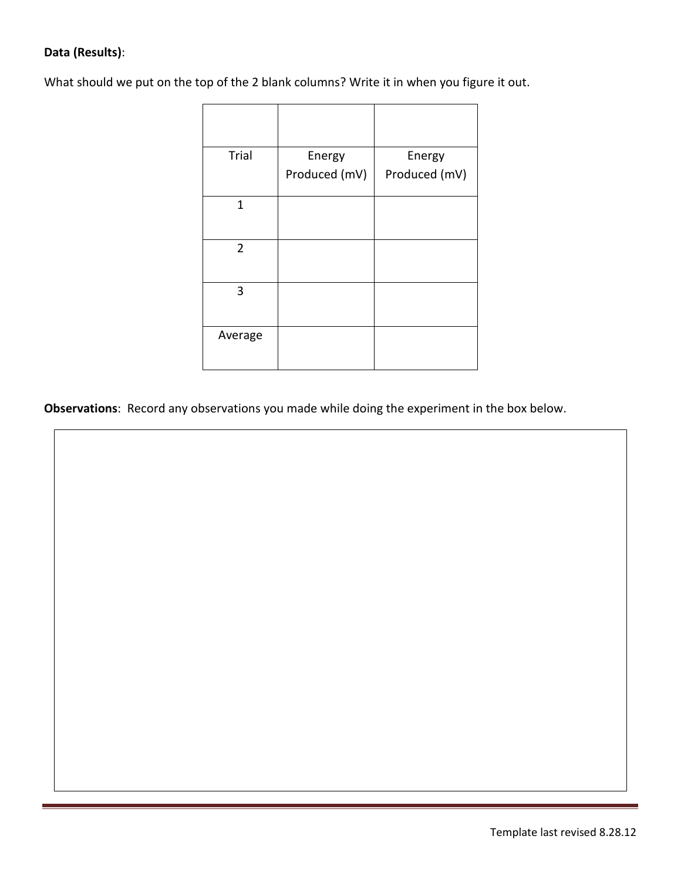## **Data (Results)**:

What should we put on the top of the 2 blank columns? Write it in when you figure it out.

| Trial          | Energy        | Energy        |
|----------------|---------------|---------------|
|                | Produced (mV) | Produced (mV) |
| 1              |               |               |
|                |               |               |
| $\overline{2}$ |               |               |
| 3              |               |               |
| Average        |               |               |

**Observations**: Record any observations you made while doing the experiment in the box below.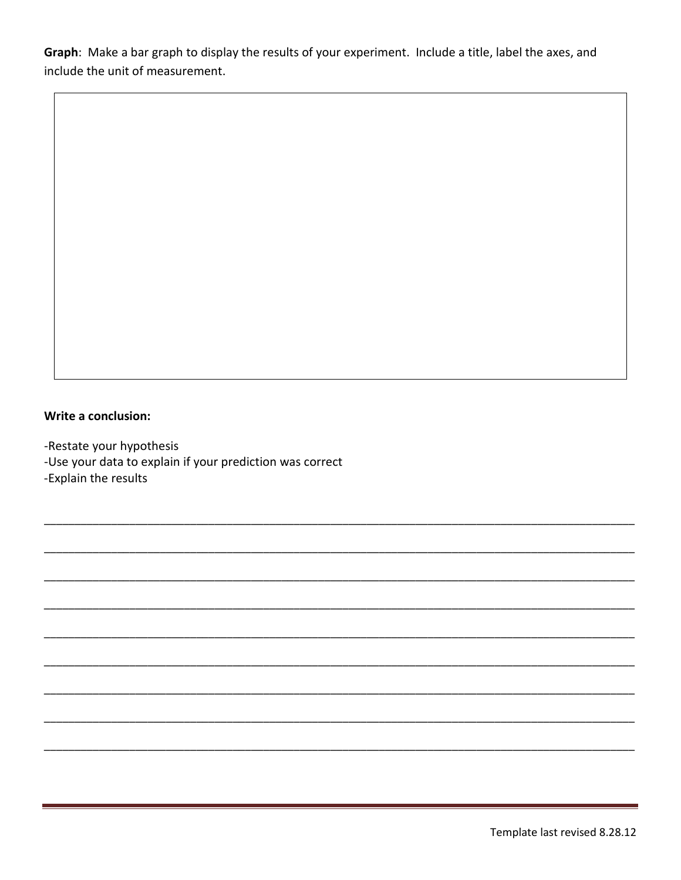Graph: Make a bar graph to display the results of your experiment. Include a title, label the axes, and include the unit of measurement.

## Write a conclusion:

-Restate your hypothesis

-Use your data to explain if your prediction was correct

-Explain the results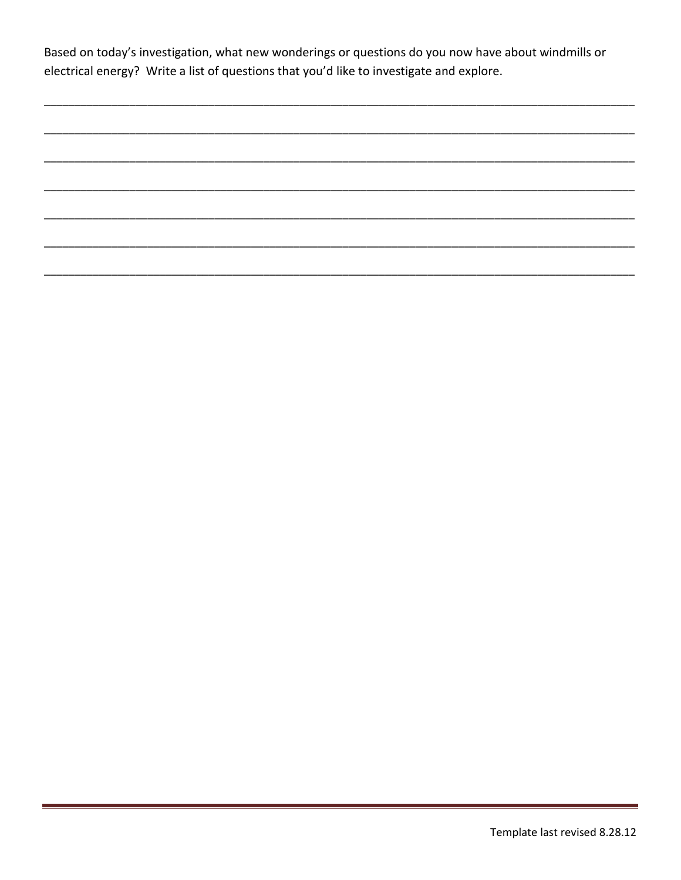Based on today's investigation, what new wonderings or questions do you now have about windmills or electrical energy? Write a list of questions that you'd like to investigate and explore.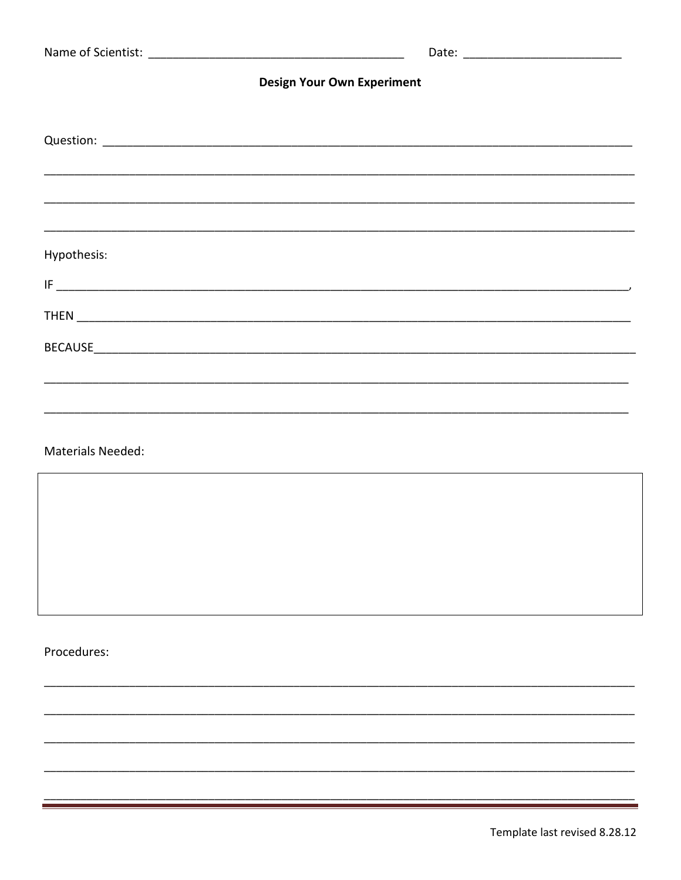| <b>Design Your Own Experiment</b> |                                                                                  |  |
|-----------------------------------|----------------------------------------------------------------------------------|--|
|                                   |                                                                                  |  |
|                                   | ,我们也不能会在这里,我们的人们就会不能会在这里,我们也不能会不能会不能会不能会不能会不能会不能会不能会不能会不能会。""我们的人们就会不能会不能会不能会不能会 |  |
|                                   |                                                                                  |  |
|                                   |                                                                                  |  |
| Hypothesis:                       |                                                                                  |  |
|                                   |                                                                                  |  |
|                                   |                                                                                  |  |
|                                   |                                                                                  |  |
|                                   |                                                                                  |  |
| <b>Materials Needed:</b>          |                                                                                  |  |

,我们也不能会在这里,我们也不能会在这里,我们也不能会在这里,我们也不能会在这里,我们也不能会在这里,我们也不能会在这里,我们也不能会在这里,我们也不能会在这里

Procedures: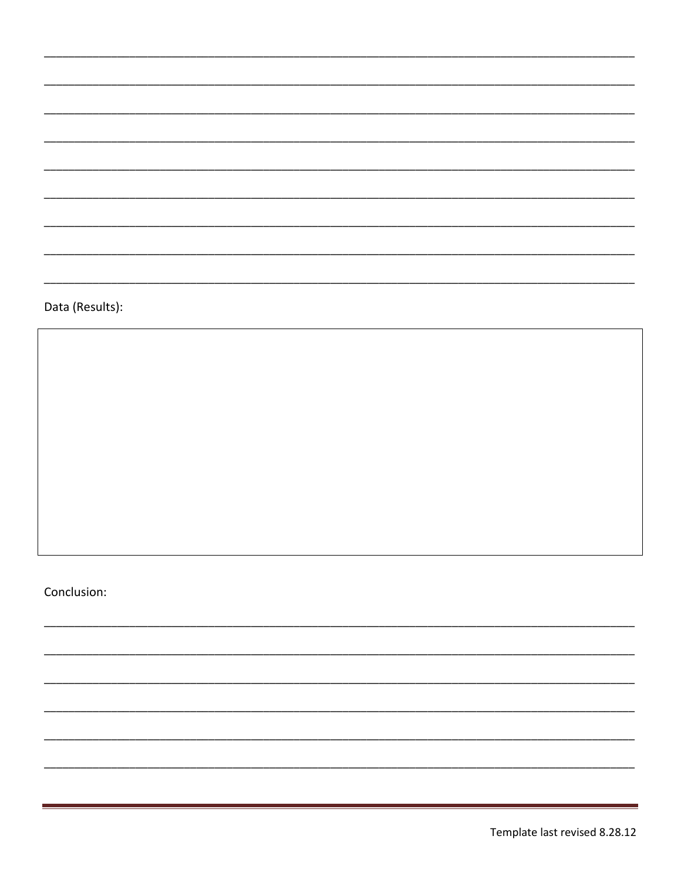Data (Results):

Conclusion: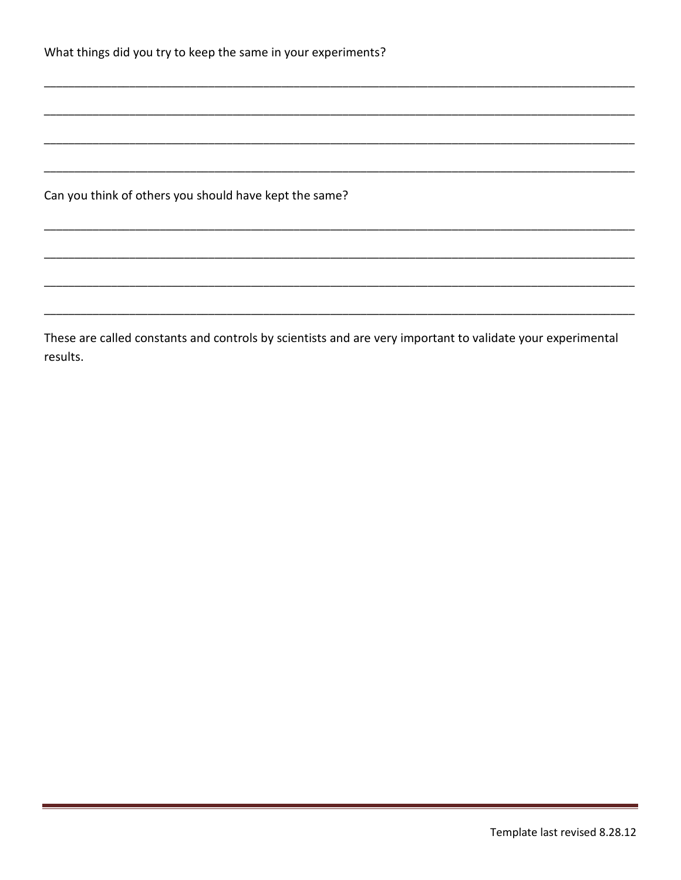| What things did you try to keep the same in your experiments? |  |  |  |  |
|---------------------------------------------------------------|--|--|--|--|
|---------------------------------------------------------------|--|--|--|--|

Can you think of others you should have kept the same?

These are called constants and controls by scientists and are very important to validate your experimental results.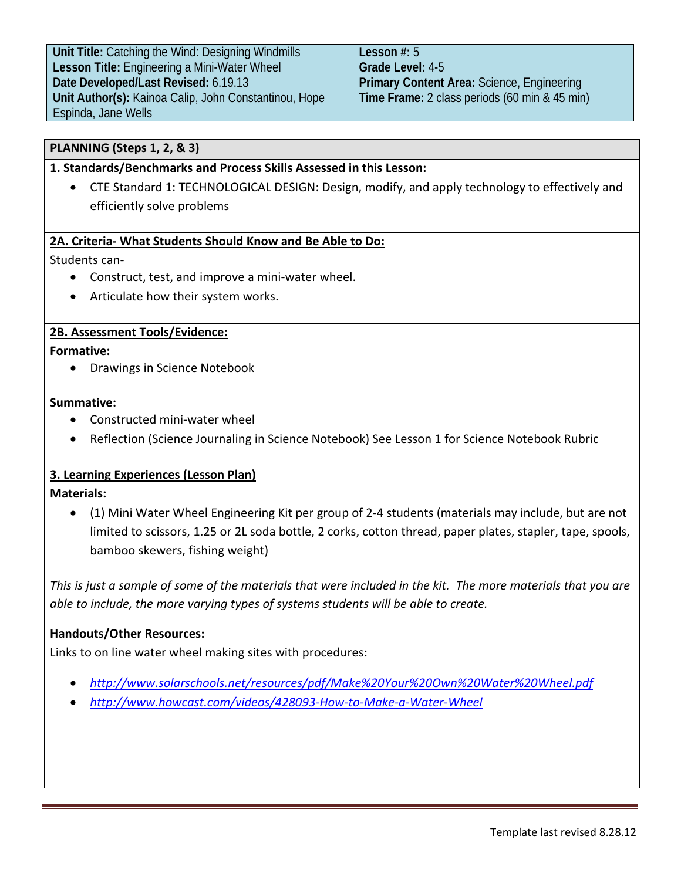**Unit Title:** Catching the Wind: Designing Windmills **Lesson Title:** Engineering a Mini-Water Wheel **Date Developed/Last Revised:** 6.19.13 **Unit Author(s):** Kainoa Calip, John Constantinou, Hope Espinda, Jane Wells

**Lesson #:** 5 **Grade Level:** 4-5 **Primary Content Area:** Science, Engineering **Time Frame:** 2 class periods (60 min & 45 min)

## **PLANNING (Steps 1, 2, & 3)**

## **1. Standards/Benchmarks and Process Skills Assessed in this Lesson:**

• CTE Standard 1: TECHNOLOGICAL DESIGN: Design, modify, and apply technology to effectively and efficiently solve problems

#### **2A. Criteria- What Students Should Know and Be Able to Do:**

Students can-

- Construct, test, and improve a mini-water wheel.
- Articulate how their system works.

### **2B. Assessment Tools/Evidence:**

#### **Formative:**

• Drawings in Science Notebook

#### **Summative:**

- Constructed mini-water wheel
- Reflection (Science Journaling in Science Notebook) See Lesson 1 for Science Notebook Rubric

## **3. Learning Experiences (Lesson Plan)**

#### **Materials:**

• (1) Mini Water Wheel Engineering Kit per group of 2-4 students (materials may include, but are not limited to scissors, 1.25 or 2L soda bottle, 2 corks, cotton thread, paper plates, stapler, tape, spools, bamboo skewers, fishing weight)

*This is just a sample of some of the materials that were included in the kit. The more materials that you are able to include, the more varying types of systems students will be able to create.*

#### **Handouts/Other Resources:**

Links to on line water wheel making sites with procedures:

- *<http://www.solarschools.net/resources/pdf/Make%20Your%20Own%20Water%20Wheel.pdf>*
- *<http://www.howcast.com/videos/428093-How-to-Make-a-Water-Wheel>*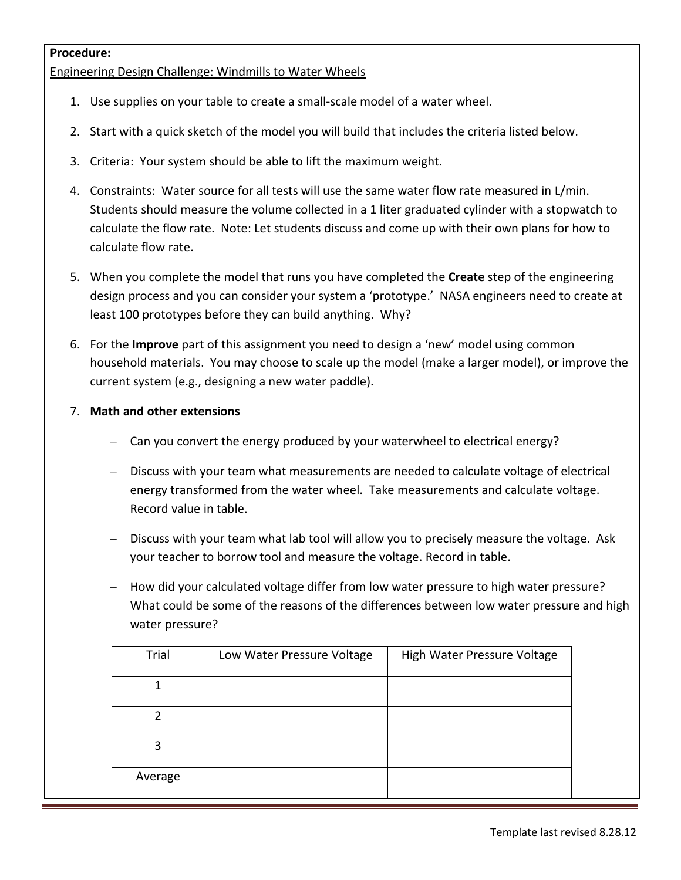#### **Procedure:**

Engineering Design Challenge: Windmills to Water Wheels

- 1. Use supplies on your table to create a small-scale model of a water wheel.
- 2. Start with a quick sketch of the model you will build that includes the criteria listed below.
- 3. Criteria: Your system should be able to lift the maximum weight.
- 4. Constraints: Water source for all tests will use the same water flow rate measured in L/min. Students should measure the volume collected in a 1 liter graduated cylinder with a stopwatch to calculate the flow rate. Note: Let students discuss and come up with their own plans for how to calculate flow rate.
- 5. When you complete the model that runs you have completed the **Create** step of the engineering design process and you can consider your system a 'prototype.' NASA engineers need to create at least 100 prototypes before they can build anything. Why?
- 6. For the **Improve** part of this assignment you need to design a 'new' model using common household materials. You may choose to scale up the model (make a larger model), or improve the current system (e.g., designing a new water paddle).
- 7. **Math and other extensions**
	- Can you convert the energy produced by your waterwheel to electrical energy?
	- Discuss with your team what measurements are needed to calculate voltage of electrical energy transformed from the water wheel. Take measurements and calculate voltage. Record value in table.
	- Discuss with your team what lab tool will allow you to precisely measure the voltage. Ask your teacher to borrow tool and measure the voltage. Record in table.
	- How did your calculated voltage differ from low water pressure to high water pressure? What could be some of the reasons of the differences between low water pressure and high water pressure?

| Trial   | Low Water Pressure Voltage | High Water Pressure Voltage |
|---------|----------------------------|-----------------------------|
|         |                            |                             |
|         |                            |                             |
| 3       |                            |                             |
| Average |                            |                             |